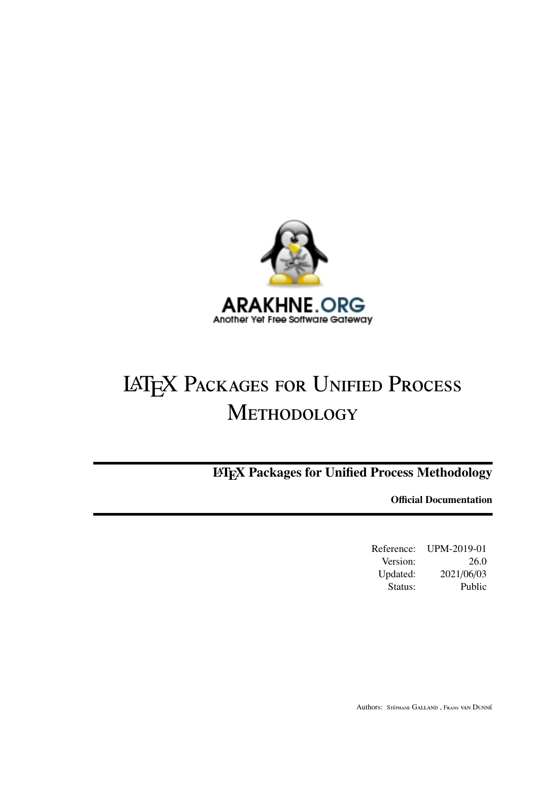

# **LATEX PACKAGES FOR UNIFIED PROCESS** METHODOLOGY

**IMEX Packages for Unified Process Methodology** 

**Official Documentation** 

Reference: UPM-2019-01 Version: 26.0 Updated: 2021/06/03 Status: Public

Authors: STÉPHANE GALLAND, FRANS VAN DUNNÉ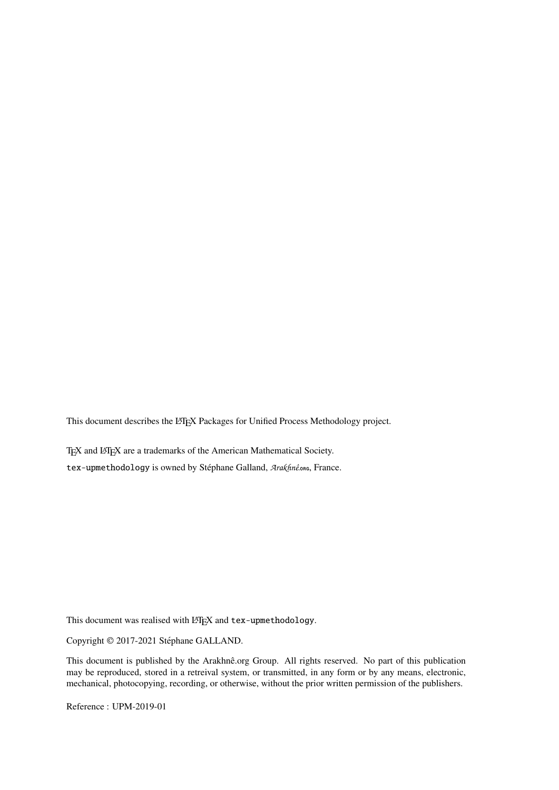This document describes the LATEX Packages for Unified Process Methodology project.

TEX and LATEX are a trademarks of the American Mathematical Society. tex-upmethodology is owned by Stéphane Galland, Arakhnê.org, France.

This document was realised with LATEX and tex-upmethodology.

Copyright © 2017-2021 Stéphane GALLAND.

This document is published by the Arakhnê.org Group. All rights reserved. No part of this publication may be reproduced, stored in a retreival system, or transmitted, in any form or by any means, electronic, mechanical, photocopying, recording, or otherwise, without the prior written permission of the publishers.

Reference : UPM-2019-01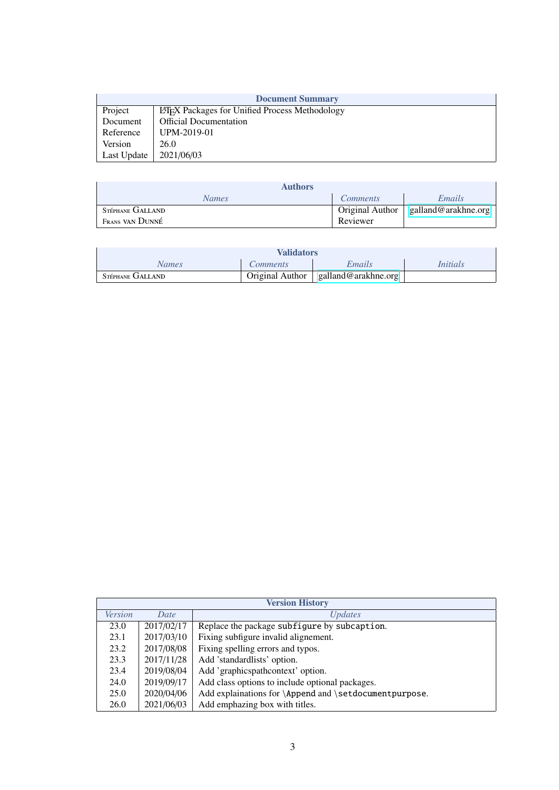| <b>Document Summary</b>                                          |                               |  |  |
|------------------------------------------------------------------|-------------------------------|--|--|
| Project<br><b>LATEX</b> Packages for Unified Process Methodology |                               |  |  |
| Document                                                         | <b>Official Documentation</b> |  |  |
| UPM-2019-01<br>Reference                                         |                               |  |  |
| Version<br>26.0                                                  |                               |  |  |
| Last Update                                                      | 2021/06/03                    |  |  |

| <b>Authors</b>   |                 |                     |  |
|------------------|-----------------|---------------------|--|
| <b>Names</b>     | <i>Comments</i> | Emails              |  |
| Stéphane GALLAND | Original Author | galland@arakhne.org |  |
| Frans van Dunné  | Reviewer        |                     |  |

| <b>Validators</b> |                        |                       |                 |
|-------------------|------------------------|-----------------------|-----------------|
| Names             | <i>Comments</i>        | Emails                | <i>Initials</i> |
| STÉPHANE GALLAND  | <b>Original Author</b> | galland@arakhne.org = |                 |

|                | <b>Version History</b> |                                                        |  |  |
|----------------|------------------------|--------------------------------------------------------|--|--|
| <b>Version</b> | Date                   | <i>Updates</i>                                         |  |  |
| 23.0           | 2017/02/17             | Replace the package subfigure by subcaption.           |  |  |
| 23.1           | 2017/03/10             | Fixing subfigure invalid alignement.                   |  |  |
| 23.2           | 2017/08/08             | Fixing spelling errors and typos.                      |  |  |
| 23.3           | 2017/11/28             | Add 'standardlists' option.                            |  |  |
| 23.4           | 2019/08/04             | Add 'graphicspathcontext' option.                      |  |  |
| 24.0           | 2019/09/17             | Add class options to include optional packages.        |  |  |
| 25.0           | 2020/04/06             | Add explainations for \Append and \setdocumentpurpose. |  |  |
| 26.0           | 2021/06/03             | Add emphazing box with titles.                         |  |  |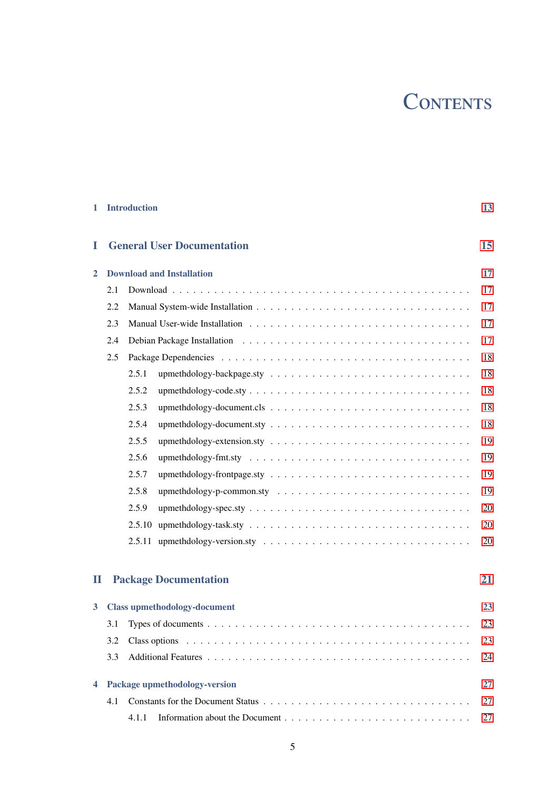# CONTENTS

| 1                       |     | <b>Introduction</b> |                                     | 13 |
|-------------------------|-----|---------------------|-------------------------------------|----|
| I                       |     |                     | <b>General User Documentation</b>   | 15 |
| 2                       |     |                     | <b>Download and Installation</b>    | 17 |
|                         | 2.1 |                     |                                     | 17 |
|                         | 2.2 |                     |                                     | 17 |
|                         | 2.3 |                     |                                     | 17 |
|                         | 2.4 |                     |                                     | 17 |
|                         | 2.5 |                     |                                     | 18 |
|                         |     | 2.5.1               |                                     | 18 |
|                         |     | 2.5.2               |                                     | 18 |
|                         |     | 2.5.3               |                                     | 18 |
|                         |     | 2.5.4               |                                     | 18 |
|                         |     | 2.5.5               |                                     | 19 |
|                         |     | 2.5.6               |                                     | 19 |
|                         |     | 2.5.7               |                                     | 19 |
|                         |     | 2.5.8               |                                     | 19 |
|                         |     | 2.5.9               |                                     | 20 |
|                         |     |                     |                                     | 20 |
|                         |     |                     |                                     | 20 |
|                         |     |                     |                                     |    |
| П                       |     |                     | <b>Package Documentation</b>        | 21 |
| $\overline{\mathbf{3}}$ |     |                     | <b>Class upmethodology-document</b> | 23 |
|                         |     |                     |                                     | 23 |
|                         | 3.2 |                     |                                     | 23 |
|                         | 3.3 |                     |                                     | 24 |
| 4                       |     |                     | Package upmethodology-version       | 27 |
|                         | 4.1 |                     |                                     | 27 |
|                         |     | 4.1.1               |                                     | 27 |
|                         |     |                     |                                     |    |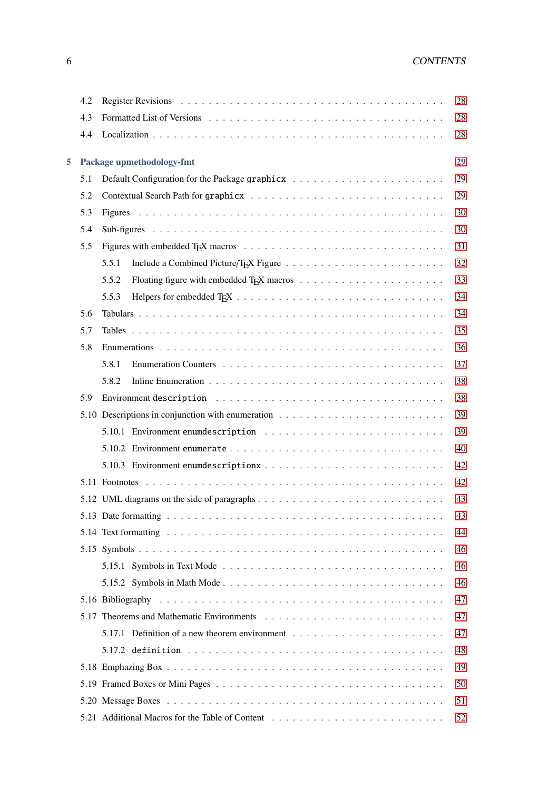|   | 4.2 | Register Revisions (a) respectively and the contract of the contract of the contract of the contract of the contract of the contract of the contract of the contract of the contract of the contract of the contract of the co | 28 |
|---|-----|--------------------------------------------------------------------------------------------------------------------------------------------------------------------------------------------------------------------------------|----|
|   | 4.3 |                                                                                                                                                                                                                                | 28 |
|   | 4.4 |                                                                                                                                                                                                                                | 28 |
| 5 |     | Package upmethodology-fmt                                                                                                                                                                                                      | 29 |
|   | 5.1 |                                                                                                                                                                                                                                | 29 |
|   | 5.2 |                                                                                                                                                                                                                                | 29 |
|   | 5.3 |                                                                                                                                                                                                                                | 30 |
|   | 5.4 |                                                                                                                                                                                                                                | 30 |
|   | 5.5 |                                                                                                                                                                                                                                | 31 |
|   |     | 5.5.1                                                                                                                                                                                                                          | 32 |
|   |     | 5.5.2                                                                                                                                                                                                                          | 33 |
|   |     | 5.5.3                                                                                                                                                                                                                          | 34 |
|   | 5.6 |                                                                                                                                                                                                                                | 34 |
|   | 5.7 |                                                                                                                                                                                                                                | 35 |
|   | 5.8 |                                                                                                                                                                                                                                | 36 |
|   |     | 5.8.1                                                                                                                                                                                                                          | 37 |
|   |     | 5.8.2                                                                                                                                                                                                                          | 38 |
|   | 5.9 |                                                                                                                                                                                                                                | 38 |
|   |     | 5.10 Descriptions in conjunction with enumeration $\dots \dots \dots \dots \dots \dots \dots \dots \dots$                                                                                                                      | 39 |
|   |     |                                                                                                                                                                                                                                | 39 |
|   |     |                                                                                                                                                                                                                                | 40 |
|   |     |                                                                                                                                                                                                                                | 42 |
|   |     |                                                                                                                                                                                                                                | 42 |
|   |     | 5.12 UML diagrams on the side of paragraphs                                                                                                                                                                                    | 43 |
|   |     |                                                                                                                                                                                                                                | 43 |
|   |     |                                                                                                                                                                                                                                | 44 |
|   |     |                                                                                                                                                                                                                                | 46 |
|   |     |                                                                                                                                                                                                                                | 46 |
|   |     |                                                                                                                                                                                                                                | 46 |
|   |     |                                                                                                                                                                                                                                | 47 |
|   |     |                                                                                                                                                                                                                                | 47 |
|   |     | 5.17.1 Definition of a new theorem environment $\dots \dots \dots \dots \dots \dots \dots \dots \dots$                                                                                                                         | 47 |
|   |     |                                                                                                                                                                                                                                | 48 |
|   |     |                                                                                                                                                                                                                                | 49 |
|   |     |                                                                                                                                                                                                                                | 50 |
|   |     |                                                                                                                                                                                                                                | 51 |
|   |     |                                                                                                                                                                                                                                | 52 |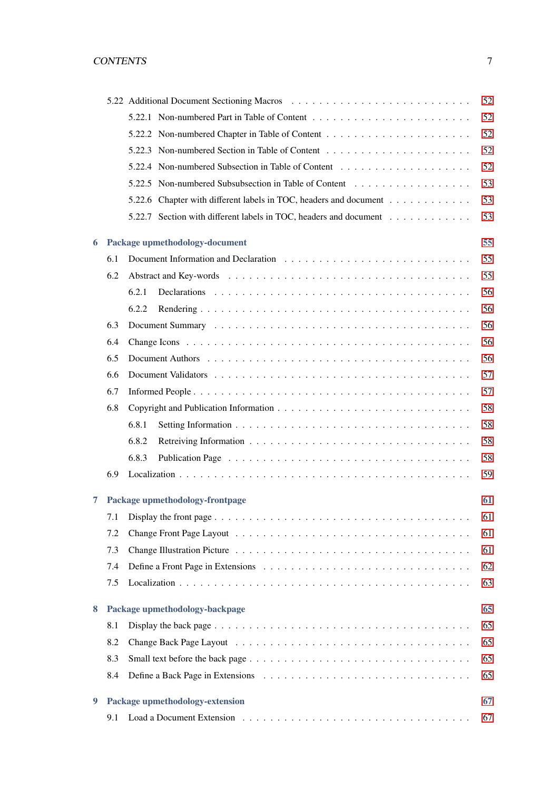|   |     | 52<br>5.22 Additional Document Sectioning Macros (and all contained a section of the section of the section of the section of the section of the section of the section of the section of the section of the section of the section |    |  |  |  |
|---|-----|-------------------------------------------------------------------------------------------------------------------------------------------------------------------------------------------------------------------------------------|----|--|--|--|
|   |     |                                                                                                                                                                                                                                     | 52 |  |  |  |
|   |     |                                                                                                                                                                                                                                     | 52 |  |  |  |
|   |     |                                                                                                                                                                                                                                     | 52 |  |  |  |
|   |     |                                                                                                                                                                                                                                     | 52 |  |  |  |
|   |     |                                                                                                                                                                                                                                     | 53 |  |  |  |
|   |     | 5.22.6 Chapter with different labels in TOC, headers and document                                                                                                                                                                   | 53 |  |  |  |
|   |     | 5.22.7 Section with different labels in TOC, headers and document                                                                                                                                                                   | 53 |  |  |  |
| 6 |     | Package upmethodology-document                                                                                                                                                                                                      | 55 |  |  |  |
|   | 6.1 |                                                                                                                                                                                                                                     | 55 |  |  |  |
|   | 6.2 |                                                                                                                                                                                                                                     | 55 |  |  |  |
|   |     | 6.2.1                                                                                                                                                                                                                               | 56 |  |  |  |
|   |     | 6.2.2                                                                                                                                                                                                                               | 56 |  |  |  |
|   | 6.3 |                                                                                                                                                                                                                                     | 56 |  |  |  |
|   | 6.4 |                                                                                                                                                                                                                                     | 56 |  |  |  |
|   | 6.5 |                                                                                                                                                                                                                                     | 56 |  |  |  |
|   | 6.6 |                                                                                                                                                                                                                                     | 57 |  |  |  |
|   | 6.7 |                                                                                                                                                                                                                                     | 57 |  |  |  |
|   | 6.8 |                                                                                                                                                                                                                                     | 58 |  |  |  |
|   |     | 6.8.1                                                                                                                                                                                                                               | 58 |  |  |  |
|   |     | 6.8.2                                                                                                                                                                                                                               | 58 |  |  |  |
|   |     | 6.8.3                                                                                                                                                                                                                               | 58 |  |  |  |
|   | 6.9 |                                                                                                                                                                                                                                     | 59 |  |  |  |
| 7 |     | Package upmethodology-frontpage                                                                                                                                                                                                     | 61 |  |  |  |
|   | 7.1 | Display the front page $\dots \dots \dots \dots \dots \dots \dots \dots \dots \dots \dots \dots \dots \dots \dots \dots$                                                                                                            | 61 |  |  |  |
|   | 7.2 |                                                                                                                                                                                                                                     | 61 |  |  |  |
|   | 7.3 |                                                                                                                                                                                                                                     | 61 |  |  |  |
|   | 7.4 |                                                                                                                                                                                                                                     | 62 |  |  |  |
|   | 7.5 |                                                                                                                                                                                                                                     | 63 |  |  |  |
| 8 |     | Package upmethodology-backpage                                                                                                                                                                                                      | 65 |  |  |  |
|   | 8.1 |                                                                                                                                                                                                                                     | 65 |  |  |  |
|   | 8.2 |                                                                                                                                                                                                                                     | 65 |  |  |  |
|   | 8.3 |                                                                                                                                                                                                                                     | 65 |  |  |  |
|   | 8.4 |                                                                                                                                                                                                                                     | 65 |  |  |  |
| 9 |     | Package upmethodology-extension                                                                                                                                                                                                     | 67 |  |  |  |
|   | 9.1 |                                                                                                                                                                                                                                     | 67 |  |  |  |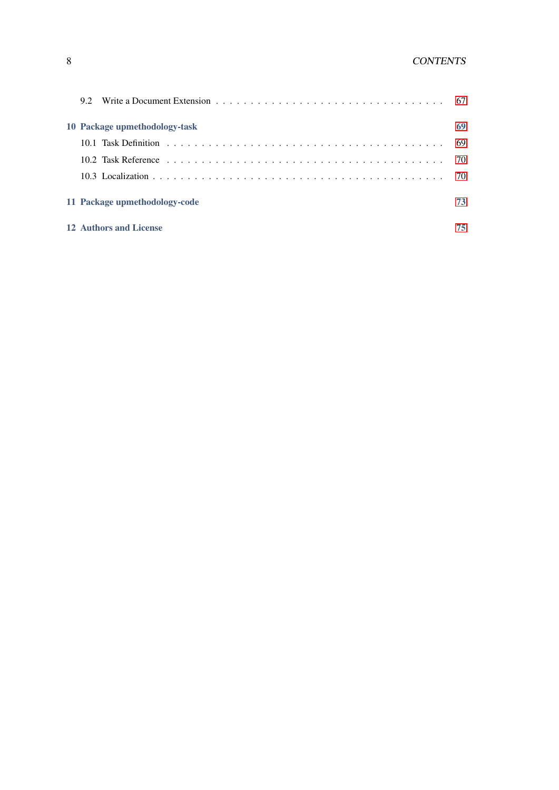## 8 CONTENTS

|  | 10 Package upmethodology-task | 69 |
|--|-------------------------------|----|
|  |                               |    |
|  |                               |    |
|  |                               |    |
|  | 11 Package upmethodology-code | 73 |
|  | 12 Authors and License        | 75 |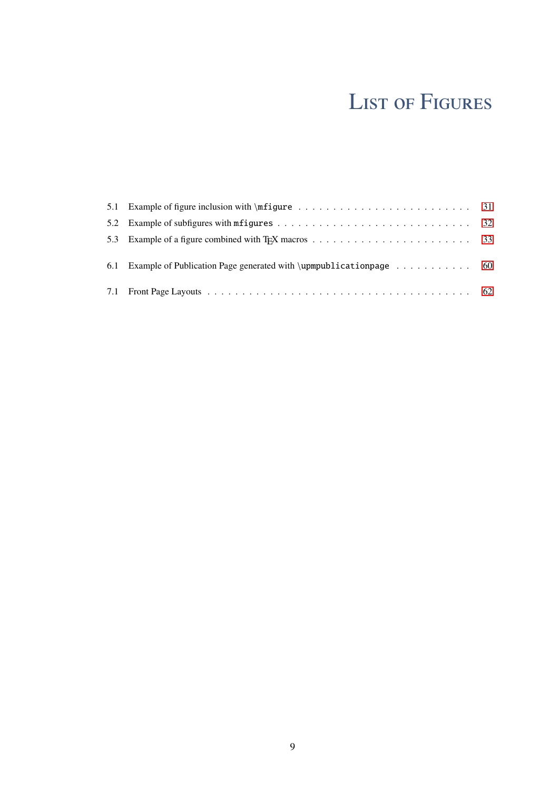# LIST OF FIGURES

| 6.1 Example of Publication Page generated with \upmpublication page $\dots \dots \dots \dots$ 60 |  |
|--------------------------------------------------------------------------------------------------|--|
|                                                                                                  |  |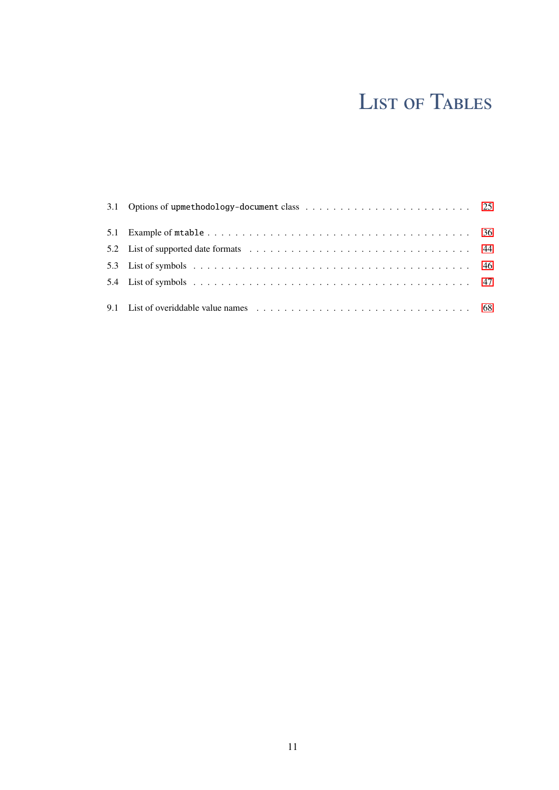# LIST OF TABLES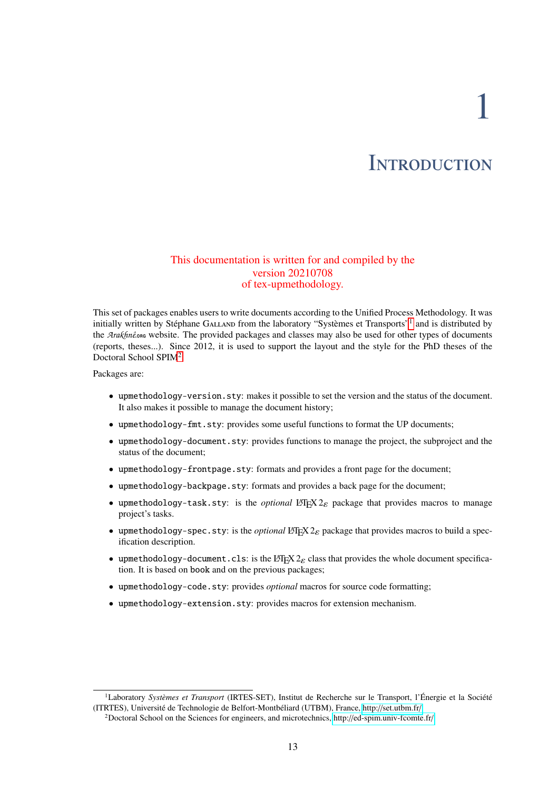1

# **INTRODUCTION**

### <span id="page-12-0"></span>This documentation is written for and compiled by the version 20210708 of tex-upmethodology.

This set of packages enables users to write documents according to the Unified Process Methodology. It was initially written by Stéphane GALLAND from the laboratory "Systèmes et Transports"<sup>[1](#page-12-1)</sup> and is distributed by the *Arakhnê*<sub>one</sub> website. The provided packages and classes may also be used for other types of documents (reports, theses...). Since 2012, it is used to support the layout and the style for the PhD theses of the Doctoral School SPIM<sup>[2](#page-12-2)</sup>.

Packages are:

- upmethodology-version.sty: makes it possible to set the version and the status of the document. It also makes it possible to manage the document history;
- upmethodology-fmt.sty: provides some useful functions to format the UP documents;
- upmethodology-document.sty: provides functions to manage the project, the subproject and the status of the document;
- upmethodology-frontpage.sty: formats and provides a front page for the document;
- upmethodology-backpage.sty: formats and provides a back page for the document;
- upmethodology-task.sty: is the *optional* LATEX  $2\varepsilon$  package that provides macros to manage project's tasks.
- upmethodology-spec.sty: is the *optional* LATEX  $2\varepsilon$  package that provides macros to build a specification description.
- upmethodology-document.cls: is the LATEX  $2\varepsilon$  class that provides the whole document specification. It is based on book and on the previous packages;
- upmethodology-code.sty: provides *optional* macros for source code formatting;
- upmethodology-extension.sty: provides macros for extension mechanism.

<span id="page-12-1"></span><sup>&</sup>lt;sup>1</sup>Laboratory Systèmes et Transport (IRTES-SET), Institut de Recherche sur le Transport, l'Énergie et la Société (ITRTES), Université de Technologie de Belfort-Montbéliard (UTBM), France, http://[set.utbm.fr](http://set.utbm.fr/)/

<span id="page-12-2"></span><sup>2</sup>Doctoral School on the Sciences for engineers, and microtechnics, http://[ed-spim.univ-fcomte.fr](http://ed-spim.univ-fcomte.fr/)/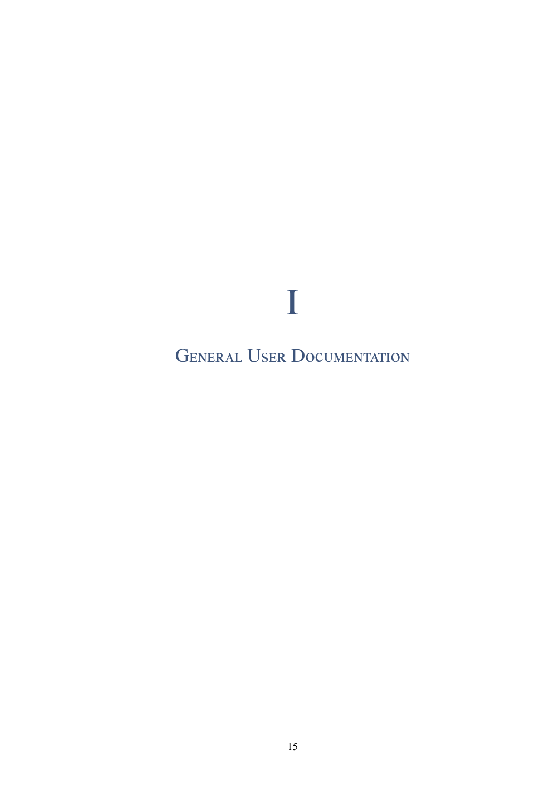<span id="page-14-0"></span>**GENERAL USER DOCUMENTATION** 

 $\bf{I}$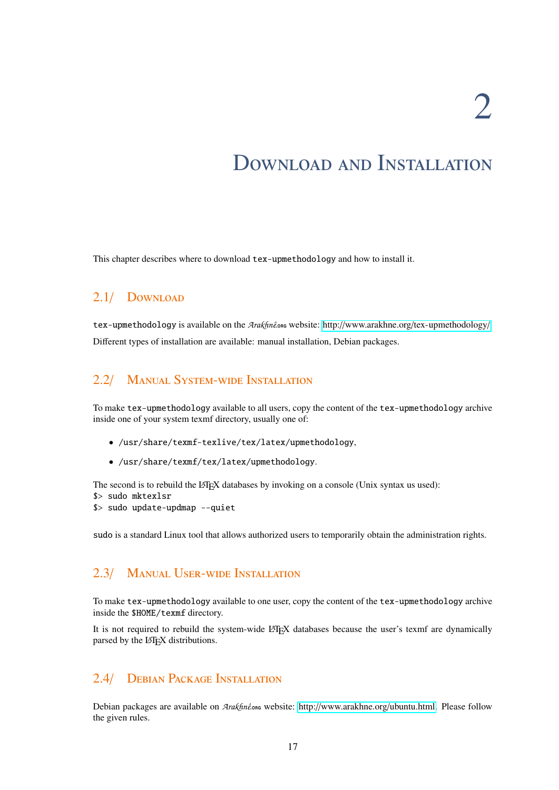# <span id="page-16-0"></span>Download and Installation

This chapter describes where to download tex-upmethodology and how to install it.

# <span id="page-16-1"></span>2.1/ Download

[tex-upmethodology](http://www.arakhne.org/tex-upmethodology/) is available on the *Arakhnê*.
oRg website: http://www.arakhne.org/tex-upmethodology/. Different types of installation are available: manual installation, Debian packages.

# <span id="page-16-2"></span>2.2/ Manual System-wide Installation

To make tex-upmethodology available to all users, copy the content of the tex-upmethodology archive inside one of your system texmf directory, usually one of:

- /usr/share/texmf-texlive/tex/latex/upmethodology,
- /usr/share/texmf/tex/latex/upmethodology.

The second is to rebuild the L<sup>AT</sup>EX databases by invoking on a console (Unix syntax us used):

- \$> sudo mktexlsr
- \$> sudo update-updmap --quiet

sudo is a standard Linux tool that allows authorized users to temporarily obtain the administration rights.

## <span id="page-16-3"></span>2.3/ Manual User-wide Installation

To make tex-upmethodology available to one user, copy the content of the tex-upmethodology archive inside the \$HOME/texmf directory.

It is not required to rebuild the system-wide LATEX databases because the user's texmf are dynamically parsed by the LAT<sub>EX</sub> distributions.

### <span id="page-16-4"></span>2.4/ Debian Package Installation

Debian packages are available on *Arakhnê*<sub>ore</sub> website: http://[www.arakhne.org](http://www.arakhne.org/ubuntu.html)/ubuntu.html. Please follow the given rules.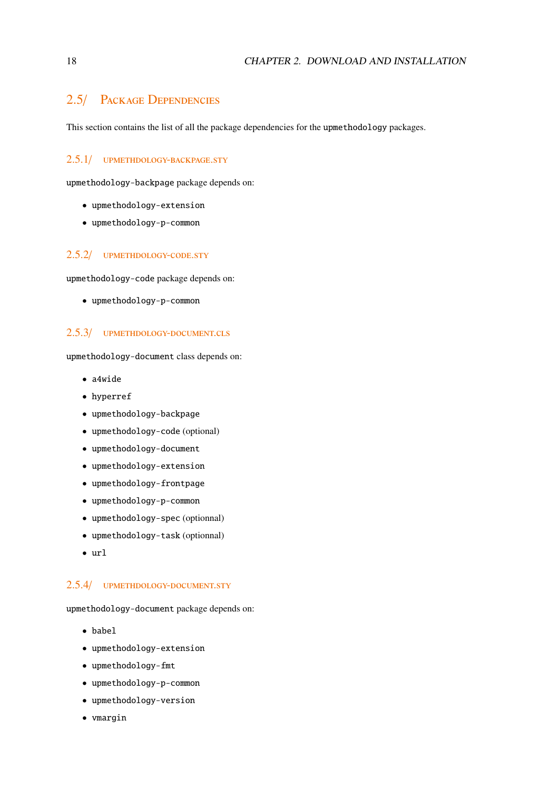### <span id="page-17-0"></span>2.5/ Package Dependencies

This section contains the list of all the package dependencies for the upmethodology packages.

#### <span id="page-17-1"></span>2.5.1/ upmethdology-backpage.sty

upmethodology-backpage package depends on:

- upmethodology-extension
- upmethodology-p-common

#### <span id="page-17-2"></span>2.5.2/ UPMETHDOLOGY-CODE.STY

upmethodology-code package depends on:

• upmethodology-p-common

#### <span id="page-17-3"></span>2.5.3/ upmethdology-document.cls

upmethodology-document class depends on:

- a4wide
- hyperref
- upmethodology-backpage
- upmethodology-code (optional)
- upmethodology-document
- upmethodology-extension
- upmethodology-frontpage
- upmethodology-p-common
- upmethodology-spec (optionnal)
- upmethodology-task (optionnal)
- url

### <span id="page-17-4"></span>2.5.4/ upmethdology-document.sty

upmethodology-document package depends on:

- babel
- upmethodology-extension
- upmethodology-fmt
- upmethodology-p-common
- upmethodology-version
- vmargin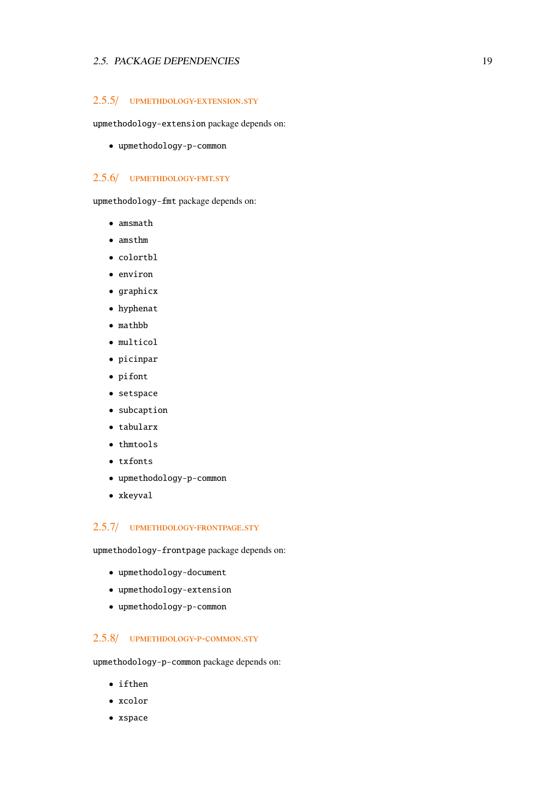#### 2.5. PACKAGE DEPENDENCIES 19

#### <span id="page-18-0"></span>2.5.5/ upmethdology-extension.sty

upmethodology-extension package depends on:

• upmethodology-p-common

#### <span id="page-18-1"></span>2.5.6/ upmethdology-fmt.sty

upmethodology-fmt package depends on:

- amsmath
- amsthm
- colortbl
- environ
- graphicx
- hyphenat
- mathbb
- multicol
- picinpar
- pifont
- setspace
- subcaption
- tabularx
- thmtools
- txfonts
- upmethodology-p-common
- xkeyval

#### <span id="page-18-2"></span>2.5.7/ upmethdology-frontpage.sty

upmethodology-frontpage package depends on:

- upmethodology-document
- upmethodology-extension
- upmethodology-p-common

### <span id="page-18-3"></span>2.5.8/ upmethdology-p-common.sty

upmethodology-p-common package depends on:

- ifthen
- xcolor
- xspace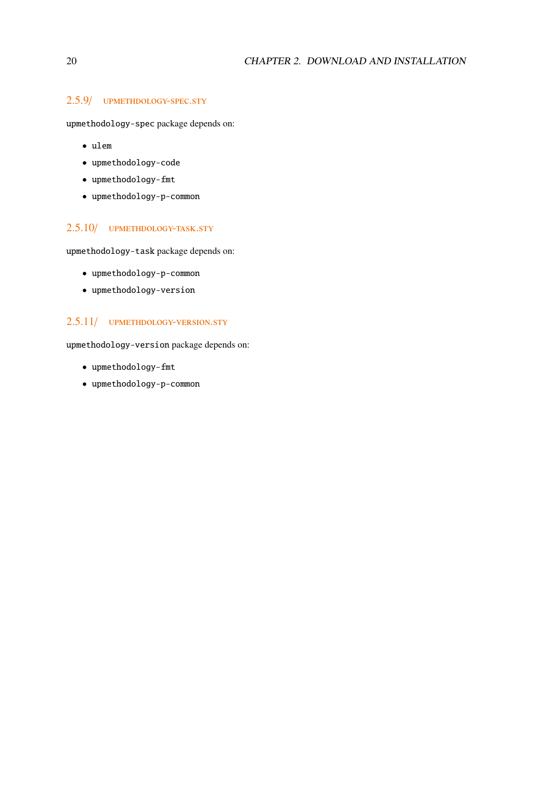### <span id="page-19-0"></span>2.5.9/ upmethdology-spec.sty

upmethodology-spec package depends on:

- ulem
- upmethodology-code
- upmethodology-fmt
- upmethodology-p-common

### <span id="page-19-1"></span>2.5.10/ UPMETHDOLOGY-TASK.STY

upmethodology-task package depends on:

- upmethodology-p-common
- upmethodology-version

### <span id="page-19-2"></span>2.5.11/ upmethdology-version.sty

upmethodology-version package depends on:

- upmethodology-fmt
- upmethodology-p-common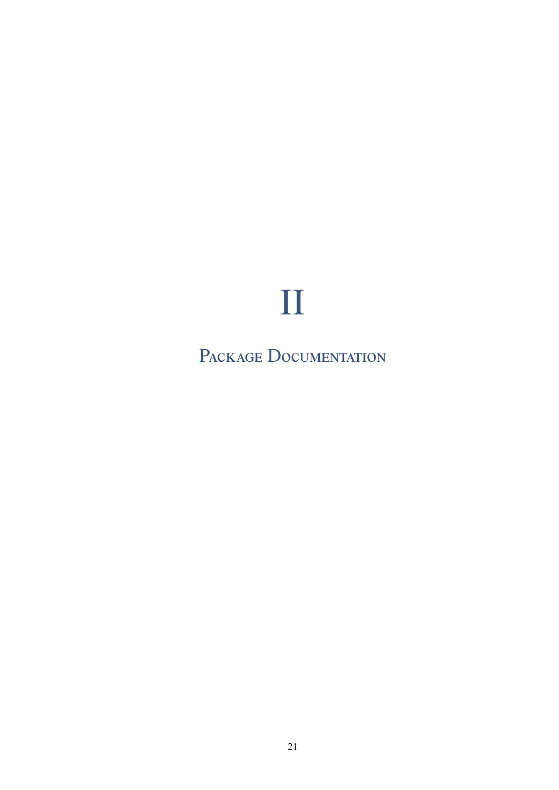# $\prod$

<span id="page-20-0"></span>PACKAGE DOCUMENTATION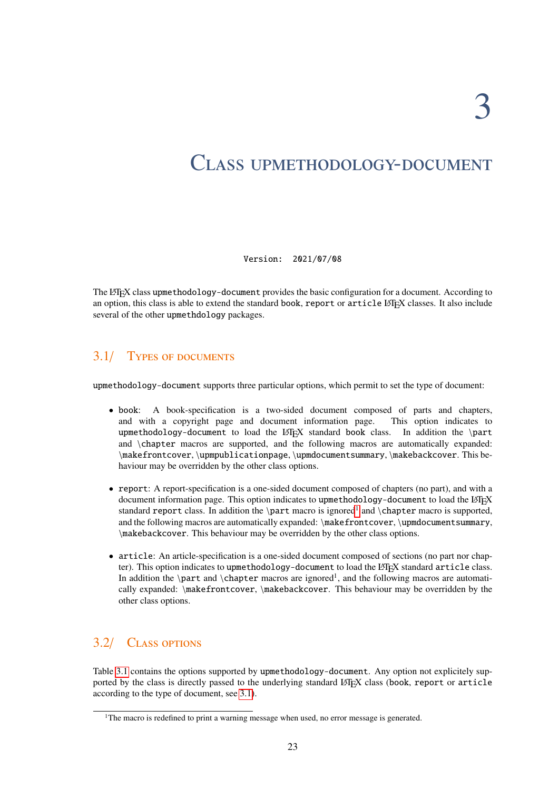# <span id="page-22-0"></span>Class upmethodology-document

Version: 2021/07/08

The LATEX class upmethodology-document provides the basic configuration for a document. According to an option, this class is able to extend the standard book, report or article LATEX classes. It also include several of the other upmethdology packages.

# <span id="page-22-1"></span>3.1/ Types of documents

upmethodology-document supports three particular options, which permit to set the type of document:

- book: A book-specification is a two-sided document composed of parts and chapters, and with a copyright page and document information page. This option indicates to upmethodology-document to load the LATEX standard book class. In addition the \part and \chapter macros are supported, and the following macros are automatically expanded: \makefrontcover, \upmpublicationpage, \upmdocumentsummary, \makebackcover. This behaviour may be overridden by the other class options.
- report: A report-specification is a one-sided document composed of chapters (no part), and with a document information page. This option indicates to upmethodology-document to load the LATEX standard report class. In addition the \part macro is ignored<sup>[1](#page-22-3)</sup> and \chapter macro is supported, and the following macros are automatically expanded: \makefrontcover, \upmdocumentsummary, \makebackcover. This behaviour may be overridden by the other class options.
- article: An article-specification is a one-sided document composed of sections (no part nor chapter). This option indicates to upmethodology-document to load the LATEX standard article class. In addition the \part and \chapter macros are ignored<sup>1</sup>, and the following macros are automatically expanded: \makefrontcover, \makebackcover. This behaviour may be overridden by the other class options.

# <span id="page-22-2"></span>3.2/ Class options

Table [3.1](#page-24-0) contains the options supported by upmethodology-document. Any option not explicitely supported by the class is directly passed to the underlying standard LATEX class (book, report or article according to the type of document, see [3.1\)](#page-22-1).

<span id="page-22-3"></span><sup>&</sup>lt;sup>1</sup>The macro is redefined to print a warning message when used, no error message is generated.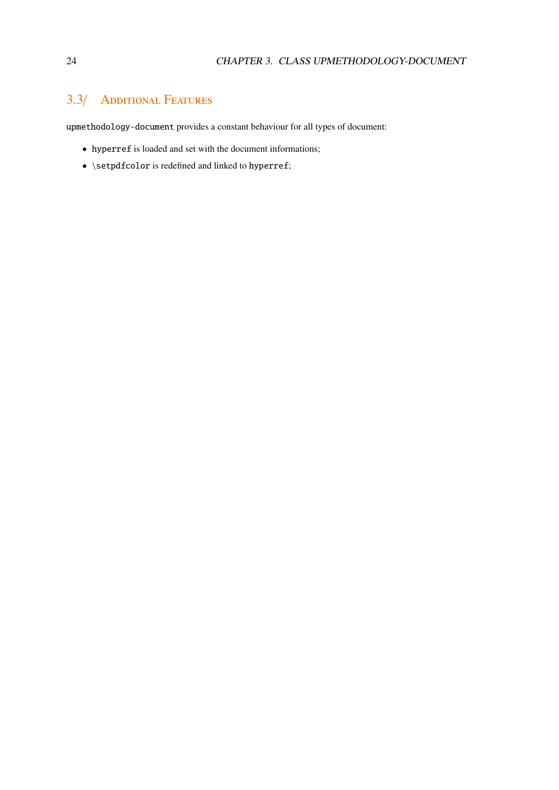# <span id="page-23-0"></span>3.3/ Additional Features

upmethodology-document provides a constant behaviour for all types of document:

- hyperref is loaded and set with the document informations;
- $\bullet$  \setpdfcolor is redefined and linked to hyperref;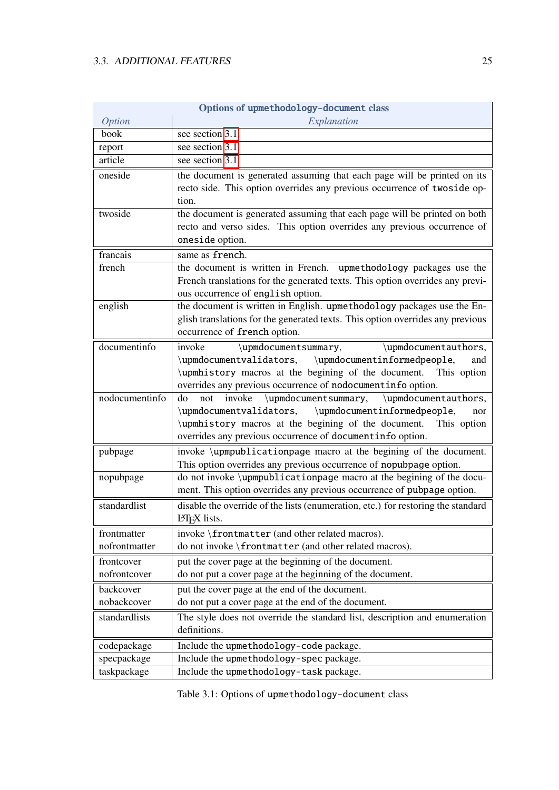<span id="page-24-0"></span>

|                | Options of upmethodology-document class                                                                                                                                                                                                                                 |
|----------------|-------------------------------------------------------------------------------------------------------------------------------------------------------------------------------------------------------------------------------------------------------------------------|
| <b>Option</b>  | Explanation                                                                                                                                                                                                                                                             |
| book           | see section 3.1.                                                                                                                                                                                                                                                        |
| report         | see section 3.1.                                                                                                                                                                                                                                                        |
| article        | see section $3.1$ .                                                                                                                                                                                                                                                     |
| oneside        | the document is generated assuming that each page will be printed on its<br>recto side. This option overrides any previous occurrence of twoside op-<br>tion.                                                                                                           |
| twoside        | the document is generated assuming that each page will be printed on both                                                                                                                                                                                               |
|                | recto and verso sides. This option overrides any previous occurrence of<br>oneside option.                                                                                                                                                                              |
| francais       | same as french.                                                                                                                                                                                                                                                         |
| french         | the document is written in French. upmethodology packages use the<br>French translations for the generated texts. This option overrides any previ-<br>ous occurrence of english option.                                                                                 |
| english        | the document is written in English. upmethodology packages use the En-<br>glish translations for the generated texts. This option overrides any previous<br>occurrence of french option.                                                                                |
| documentinfo   | invoke<br>\upmdocumentauthors,<br>\upmdocumentsummary,<br>\upmdocumentvalidators,<br>\upmdocumentinformedpeople,<br>and<br>\upmhistory macros at the begining of the document.<br>This option<br>overrides any previous occurrence of nodocumentinfo option.            |
| nodocumentinfo | \upmdocumentsummary,<br>\upmdocumentauthors,<br>invoke<br>do<br>not<br>\upmdocumentinformedpeople,<br>\upmdocumentvalidators,<br>nor<br>\upmhistory macros at the begining of the document.<br>This option<br>overrides any previous occurrence of documentinfo option. |
| pubpage        | invoke \upmpublicationpage macro at the begining of the document.<br>This option overrides any previous occurrence of nopubpage option.                                                                                                                                 |
| nopubpage      | do not invoke \upmpublicationpage macro at the begining of the docu-<br>ment. This option overrides any previous occurrence of pubpage option.                                                                                                                          |
| standardlist   | disable the override of the lists (enumeration, etc.) for restoring the standard<br><b>LATFX</b> lists                                                                                                                                                                  |
| frontmatter    | invoke \frontmatter (and other related macros).                                                                                                                                                                                                                         |
| nofrontmatter  | do not invoke \frontmatter (and other related macros).                                                                                                                                                                                                                  |
| frontcover     | put the cover page at the beginning of the document.                                                                                                                                                                                                                    |
| nofrontcover   | do not put a cover page at the beginning of the document.                                                                                                                                                                                                               |
| backcover      | put the cover page at the end of the document.                                                                                                                                                                                                                          |
| nobackcover    | do not put a cover page at the end of the document.                                                                                                                                                                                                                     |
| standardlists  | The style does not override the standard list, description and enumeration<br>definitions.                                                                                                                                                                              |
| codepackage    | Include the upmethodology-code package.                                                                                                                                                                                                                                 |
| specpackage    | Include the upmethodology-spec package.                                                                                                                                                                                                                                 |
| taskpackage    | Include the upmethodology-task package.                                                                                                                                                                                                                                 |

Options of upmethodology-document class

Table 3.1: Options of upmethodology-document class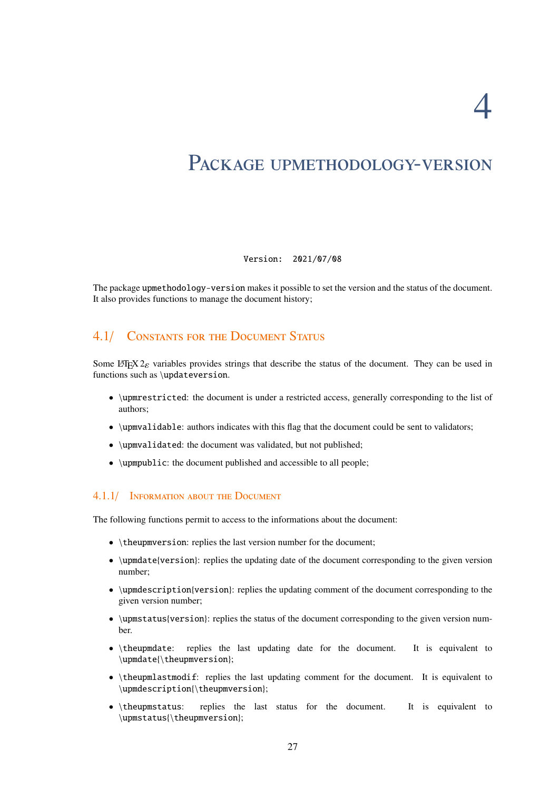4

# <span id="page-26-0"></span>PACKAGE UPMETHODOLOGY-VERSION

#### Version: 2021/07/08

The package upmethodology-version makes it possible to set the version and the status of the document. It also provides functions to manage the document history;

### <span id="page-26-1"></span>4.1/ CONSTANTS FOR THE DOCUMENT STATUS

Some LATEX  $2\varepsilon$  variables provides strings that describe the status of the document. They can be used in functions such as \updateversion.

- \upmrestricted: the document is under a restricted access, generally corresponding to the list of authors;
- \upmvalidable: authors indicates with this flag that the document could be sent to validators;
- \upmvalidated: the document was validated, but not published;
- \upmpublic: the document published and accessible to all people;

#### <span id="page-26-2"></span>4.1.1/ INFORMATION ABOUT THE DOCUMENT

The following functions permit to access to the informations about the document:

- \theupmversion: replies the last version number for the document;
- \upmdate{version}: replies the updating date of the document corresponding to the given version number;
- \upmdescription{version}: replies the updating comment of the document corresponding to the given version number;
- \upmstatus{version}: replies the status of the document corresponding to the given version number.
- \theupmdate: replies the last updating date for the document. It is equivalent to \upmdate{\theupmversion};
- \theupmlastmodif: replies the last updating comment for the document. It is equivalent to \upmdescription{\theupmversion};
- \theupmstatus: replies the last status for the document. It is equivalent to \upmstatus{\theupmversion};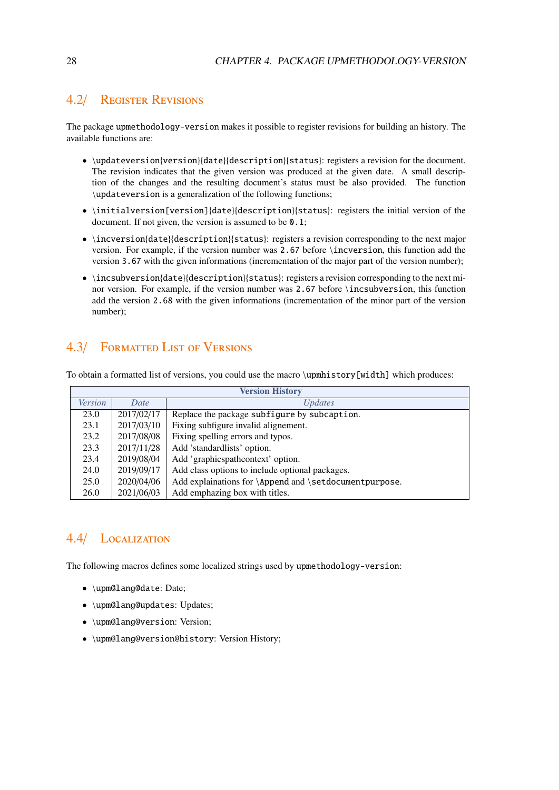### <span id="page-27-0"></span>4.2/ Register Revisions

The package upmethodology-version makes it possible to register revisions for building an history. The available functions are:

- \updateversion{version}{date}{description}{status}: registers a revision for the document. The revision indicates that the given version was produced at the given date. A small description of the changes and the resulting document's status must be also provided. The function \updateversion is a generalization of the following functions;
- \initialversion[version]{date}{description}{status}: registers the initial version of the document. If not given, the version is assumed to be  $\mathbf{0.1};$
- \incversion{date}{description}{status}: registers a revision corresponding to the next major version. For example, if the version number was 2.67 before \incversion, this function add the version 3.67 with the given informations (incrementation of the major part of the version number);
- \incsubversion{date}{description}{status}: registers a revision corresponding to the next minor version. For example, if the version number was 2.67 before \incsubversion, this function add the version 2.68 with the given informations (incrementation of the minor part of the version number);

# <span id="page-27-1"></span>4.3/ Formatted List of Versions

To obtain a formatted list of versions, you could use the macro \upmhistory[width] which produces:

| <b>Version History</b> |            |                                                        |  |
|------------------------|------------|--------------------------------------------------------|--|
| <b>Version</b>         | Date       | <i>Updates</i>                                         |  |
| 23.0                   | 2017/02/17 | Replace the package subfigure by subcaption.           |  |
| 23.1                   | 2017/03/10 | Fixing subfigure invalid alignement.                   |  |
| 23.2                   | 2017/08/08 | Fixing spelling errors and typos.                      |  |
| 23.3                   | 2017/11/28 | Add 'standardlists' option.                            |  |
| 23.4                   | 2019/08/04 | Add 'graphicspathcontext' option.                      |  |
| 24.0                   | 2019/09/17 | Add class options to include optional packages.        |  |
| 25.0                   | 2020/04/06 | Add explainations for \Append and \setdocumentpurpose. |  |
| 26.0                   | 2021/06/03 | Add emphazing box with titles.                         |  |

# <span id="page-27-2"></span>4.4/ Localization

The following macros defines some localized strings used by upmethodology-version:

- \upm@lang@date: Date;
- \upm@lang@updates: Updates;
- \upm@lang@version: Version;
- \upm@lang@version@history: Version History;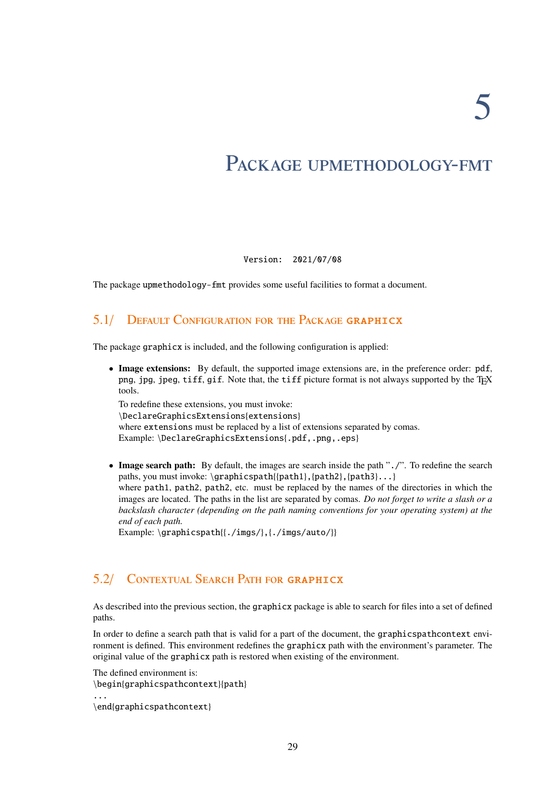# <span id="page-28-0"></span>PACKAGE UPMETHODOLOGY-FMT

Version: 2021/07/08

The package upmethodology-fmt provides some useful facilities to format a document.

### <span id="page-28-1"></span>5.1/ Default Configuration for the Package graphicx

The package graphicx is included, and the following configuration is applied:

• Image extensions: By default, the supported image extensions are, in the preference order: pdf, png, jpg, jpeg, tiff, gif. Note that, the tiff picture format is not always supported by the TEX tools.

To redefine these extensions, you must invoke: \DeclareGraphicsExtensions{extensions} where extensions must be replaced by a list of extensions separated by comas. Example: \DeclareGraphicsExtensions{.pdf,.png,.eps}

• Image search path: By default, the images are search inside the path "./". To redefine the search paths, you must invoke: \graphicspath{{path1},{path2},{path3}...} where path1, path2, path2, etc. must be replaced by the names of the directories in which the images are located. The paths in the list are separated by comas. *Do not forget to write a slash or a backslash character (depending on the path naming conventions for your operating system) at the end of each path.*

Example: \graphicspath{{./imgs/},{./imgs/auto/}}

# <span id="page-28-2"></span>5.2/ Contextual Search Path for graphicx

As described into the previous section, the graphicx package is able to search for files into a set of defined paths.

In order to define a search path that is valid for a part of the document, the graphicspathcontext environment is defined. This environment redefines the graphicx path with the environment's parameter. The original value of the graphicx path is restored when existing of the environment.

```
The defined environment is:
\begin{graphicspathcontext}{path}
...
\end{graphicspathcontext}
```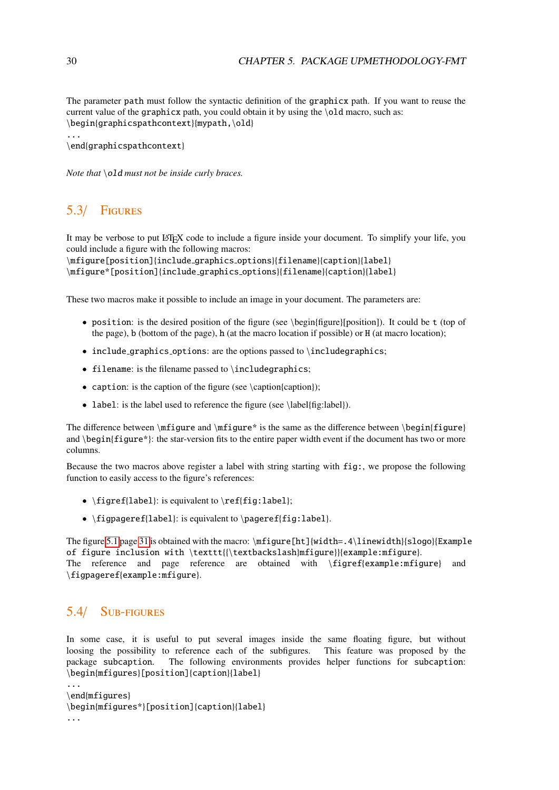The parameter path must follow the syntactic definition of the graphicx path. If you want to reuse the current value of the graphicx path, you could obtain it by using the \old macro, such as: \begin{graphicspathcontext}{mypath,\old}

```
...
\end{graphicspathcontext}
```
*Note that* **\old** *must not be inside curly braces.* 

# <span id="page-29-0"></span>5.3/ Figures

It may be verbose to put LATEX code to include a figure inside your document. To simplify your life, you could include a figure with the following macros:

\mfigure[position]{include graphics options}{filename}{caption}{label} \mfigure\*[position]{include graphics options}{filename}{caption}{label}

These two macros make it possible to include an image in your document. The parameters are:

- position: is the desired position of the figure (see \begin{figure}[position]). It could be t (top of the page), b (bottom of the page), h (at the macro location if possible) or H (at macro location);
- include\_graphics\_options: are the options passed to \includegraphics;
- filename: is the filename passed to \includegraphics;
- caption: is the caption of the figure (see \caption{caption});
- label: is the label used to reference the figure (see \label{fig:label}).

The difference between  $\mid$   $\mid$   $\mid$  is the same as the difference between  $\begin{array}{\text{figure}}$ and \begin{figure\*}: the star-version fits to the entire paper width event if the document has two or more columns.

Because the two macros above register a label with string starting with fig:, we propose the following function to easily access to the figure's references:

- \figref{label}: is equivalent to \ref{fig:label};
- \figpageref{label}: is equivalent to \pageref{fig:label}.

The figure [5.1](#page-30-1) page [31](#page-30-1) is obtained with the macro: \mfigure[ht]{width=.4\linewidth}{slogo}{Example of figure inclusion with \texttt{{\textbackslash}mfigure}}{example:mfigure}. The reference and page reference are obtained with \figref{example:mfigure} and \figpageref{example:mfigure}.

### <span id="page-29-1"></span>5.4/ Sub-figures

In some case, it is useful to put several images inside the same floating figure, but without loosing the possibility to reference each of the subfigures. This feature was proposed by the package subcaption. The following environments provides helper functions for subcaption: \begin{mfigures}[position]{caption}{label}

```
...
\end{mfigures}
\begin{mfigures*}[position]{caption}{label}
...
```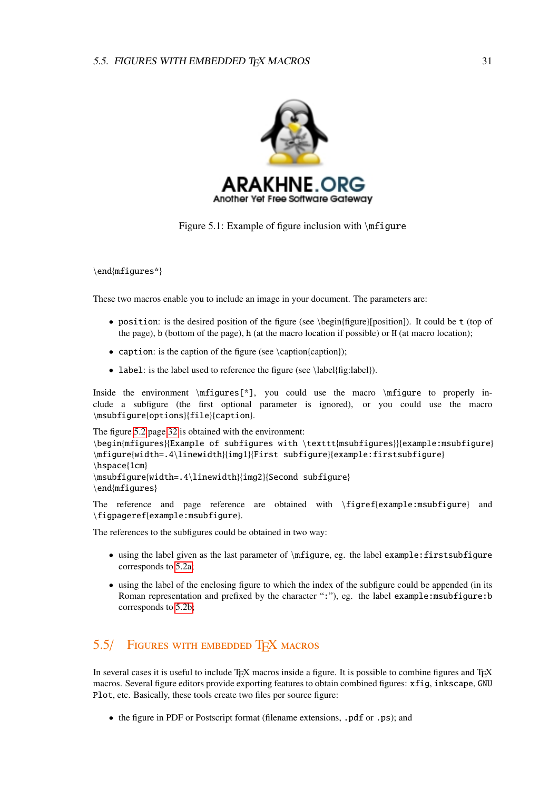<span id="page-30-1"></span>

Figure 5.1: Example of figure inclusion with \mfigure

\end{mfigures\*}

These two macros enable you to include an image in your document. The parameters are:

- position: is the desired position of the figure (see \begin{figure}[position]). It could be t (top of the page), b (bottom of the page), h (at the macro location if possible) or H (at macro location);
- caption: is the caption of the figure (see \caption{caption});
- label: is the label used to reference the figure (see \label{fig:label}).

Inside the environment  $\m{mfigures[^*]}$ , you could use the macro  $\m{mfigure}$  to properly include a subfigure (the first optional parameter is ignored), or you could use the macro \msubfigure{options}{file}{caption}.

```
The figure 5.2 page 32 is obtained with the environment:
\begin{mfigures}{Example of subfigures with \texttt{msubfigures}}{example:msubfigure}
\mfigure{width=.4\linewidth}{img1}{First subfigure}{example:firstsubfigure}
\hspace{1cm}
\msubfigure{width=.4\linewidth}{img2}{Second subfigure}
\end{mfigures}
```
The reference and page reference are obtained with \figref{example:msubfigure} and \figpageref{example:msubfigure}.

The references to the subfigures could be obtained in two way:

- using the label given as the last parameter of \mfigure, eg. the label example:firstsubfigure corresponds to [5.2a;](#page-31-1)
- using the label of the enclosing figure to which the index of the subfigure could be appended (in its Roman representation and prefixed by the character ":"), eg. the label example:msubfigure:b corresponds to [5.2b;](#page-31-1)

# <span id="page-30-0"></span>5.5/ FIGURES WITH EMBEDDED TFX MACROS

In several cases it is useful to include TEX macros inside a figure. It is possible to combine figures and TEX macros. Several figure editors provide exporting features to obtain combined figures: xfig, inkscape, GNU Plot, etc. Basically, these tools create two files per source figure:

• the figure in PDF or Postscript format (filename extensions, .pdf or .ps); and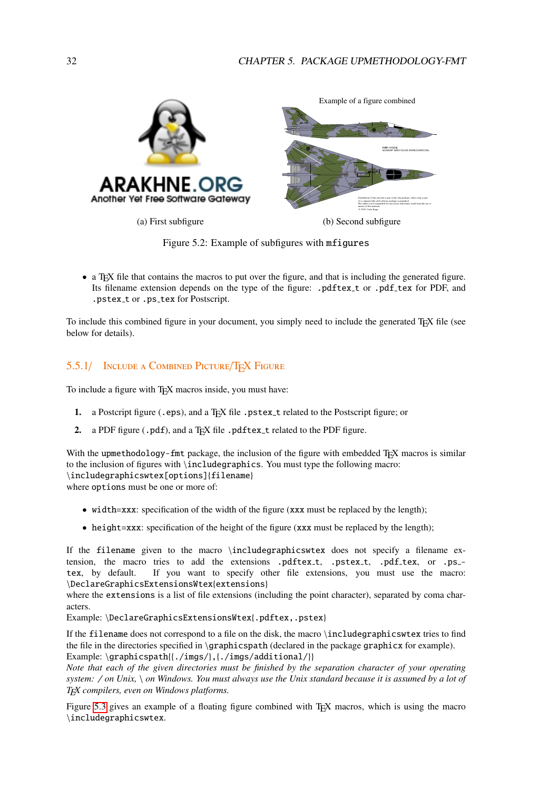<span id="page-31-1"></span>

(a) First subfigure

(b) Second subfigure



• a T<sub>E</sub>X file that contains the macros to put over the figure, and that is including the generated figure. Its filename extension depends on the type of the figure: .pdftex\_t or .pdf\_tex for PDF, and .pstex\_t or .ps\_tex for Postscript.

To include this combined figure in your document, you simply need to include the generated TEX file (see below for details).

### <span id="page-31-0"></span>5.5.1/ <sup>I</sup>nclude a <sup>C</sup>ombined <sup>P</sup>icture/TEX Figure

To include a figure with TEX macros inside, you must have:

- 1. a Postcript figure (.eps), and a TEX file .pstex\_t related to the Postscript figure; or
- 2. a PDF figure (.pdf), and a TEX file .pdftex\_t related to the PDF figure.

With the upmethodology-fmt package, the inclusion of the figure with embedded T<sub>E</sub>X macros is similar to the inclusion of figures with \includegraphics. You must type the following macro: \includegraphicswtex[options]{filename} where options must be one or more of:

• width=xxx: specification of the width of the figure (xxx must be replaced by the length);

• height=xxx: specification of the height of the figure (xxx must be replaced by the length);

If the filename given to the macro \includegraphicswtex does not specify a filename extension, the macro tries to add the extensions .pdf tex\_t, .pstex\_t, .pdf\_tex, or .ps\_tex, by default. If you want to specify other file extensions, you must use the macro: \DeclareGraphicsExtensionsWtex{extensions}

where the extensions is a list of file extensions (including the point character), separated by coma characters.

Example: \DeclareGraphicsExtensionsWtex{.pdftex,.pstex}

If the filename does not correspond to a file on the disk, the macro \includegraphicswtex tries to find the file in the directories specified in \graphicspath (declared in the package graphicx for example). Example: \graphicspath{{./imgs/},{./imgs/additional/}}

*Note that each of the given directories must be finished by the separation character of your operating system:* / *on Unix,* \ *on Windows. You must always use the Unix standard because it is assumed by a lot of TEX compilers, even on Windows platforms.*

Figure [5.3](#page-32-1) gives an example of a floating figure combined with TEX macros, which is using the macro \includegraphicswtex.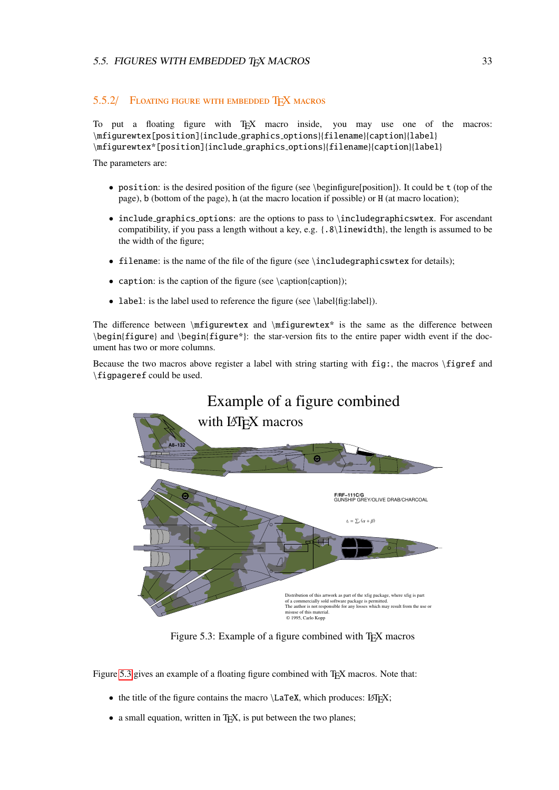#### <span id="page-32-0"></span>5.5.2/ FLOATING FIGURE WITH EMBEDDED TFX MACROS

To put a floating figure with T<sub>EX</sub> macro inside, you may use one of the macros: \mfigurewtex[position]{include graphics options}{filename}{caption}{label} \mfigurewtex\*[position]{include graphics options}{filename}{caption}{label}

The parameters are:

- position: is the desired position of the figure (see \beginfigure[position]). It could be t (top of the page), b (bottom of the page), h (at the macro location if possible) or H (at macro location);
- include graphics options: are the options to pass to \includegraphicswtex. For ascendant compatibility, if you pass a length without a key, e.g. {.8\linewidth}, the length is assumed to be the width of the figure;
- filename: is the name of the file of the figure (see \includegraphicswtex for details);
- caption: is the caption of the figure (see \caption{caption});
- label: is the label used to reference the figure (see \label{fig:label}).

The difference between  $\rightarrow$  and  $\rightarrow$   $\rightarrow$  is the same as the difference between \begin{figure} and \begin{figure\*}: the star-version fits to the entire paper width event if the document has two or more columns.

<span id="page-32-1"></span>Because the two macros above register a label with string starting with fig:, the macros \figref and \figpageref could be used.



Figure 5.3: Example of a figure combined with T<sub>E</sub>X macros

Figure [5.3](#page-32-1) gives an example of a floating figure combined with T<sub>E</sub>X macros. Note that:

- the title of the figure contains the macro  $\text{LareX}$ , which produces: LATEX;
- a small equation, written in T<sub>E</sub>X, is put between the two planes;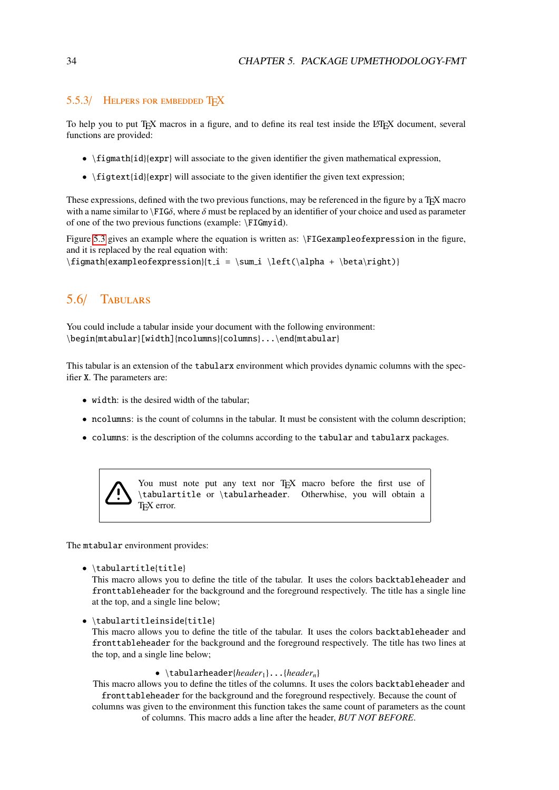### <span id="page-33-0"></span>5.5.3/ HELPERS FOR EMBEDDED TFX

To help you to put T<sub>EX</sub> macros in a figure, and to define its real test inside the L<sup>AT</sup>EX document, several functions are provided:

- \figmath{id}{expr} will associate to the given identifier the given mathematical expression,
- \figtext{id}{expr} will associate to the given identifier the given text expression;

These expressions, defined with the two previous functions, may be referenced in the figure by a T<sub>E</sub>X macro with a name similar to  $\F{IG\delta}$ , where  $\delta$  must be replaced by an identifier of your choice and used as parameter of one of the two previous functions (example: \FIGmyid).

Figure [5.3](#page-32-1) gives an example where the equation is written as: \FIGexampleofexpression in the figure, and it is replaced by the real equation with:

 $\{e\tanh\{expressin\}(t_i = \sum_i \left(\alpha + \beta\right)\}\$ 

### <span id="page-33-1"></span>5.6/ Tabulars

You could include a tabular inside your document with the following environment: \begin{mtabular}[width]{ncolumns}{columns}...\end{mtabular}

This tabular is an extension of the tabularx environment which provides dynamic columns with the specifier X. The parameters are:

- width: is the desired width of the tabular;
- ncolumns: is the count of columns in the tabular. It must be consistent with the column description;
- columns: is the description of the columns according to the tabular and tabularx packages.



You must note put any text nor TEX macro before the first use of \tabulartitle or \tabularheader. Otherwhise, you will obtain a T<sub>E</sub>X error.

The mtabular environment provides:

• \tabulartitle{title}

This macro allows you to define the title of the tabular. It uses the colors backtableheader and fronttableheader for the background and the foreground respectively. The title has a single line at the top, and a single line below;

• \tabulartitleinside{title}

This macro allows you to define the title of the tabular. It uses the colors backtableheader and fronttableheader for the background and the foreground respectively. The title has two lines at the top, and a single line below;

• \tabularheader{*header*<sub>1</sub>}...{*header<sub>n</sub>*}

This macro allows you to define the titles of the columns. It uses the colors backtableheader and fronttableheader for the background and the foreground respectively. Because the count of columns was given to the environment this function takes the same count of parameters as the count

of columns. This macro adds a line after the header, *BUT NOT BEFORE*.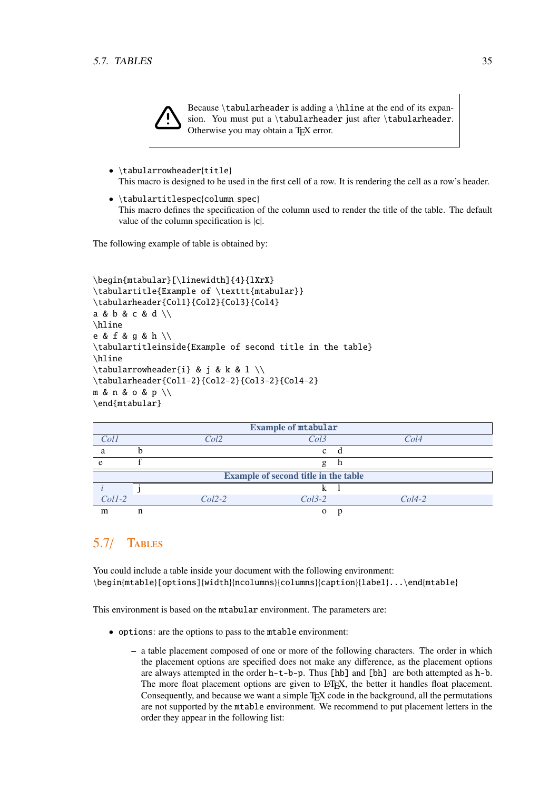

- \tabularrowheader{title} This macro is designed to be used in the first cell of a row. It is rendering the cell as a row's header.
- \tabulartitlespec{column\_spec} This macro defines the specification of the column used to render the title of the table. The default value of the column specification is |c|.

The following example of table is obtained by:

```
\begin{mtabular}[\linewidth]{4}{lXrX}
\tabulartitle{Example of \texttt{mtabular}}
\tabularheader{Col1}{Col2}{Col3}{Col4}
a & b & c & d \\
\hline
e & f & g & h \\
\tabulartitleinside{Example of second title in the table}
\hline
\tabularrowheader{i} & j & k & l \\
\tabularheader{Col1-2}{Col2-2}{Col3-2}{Col4-2}
m & n & o & p \\
\end{mtabular}
```

| <b>Example of mtabular</b>           |   |                      |          |   |          |  |  |  |
|--------------------------------------|---|----------------------|----------|---|----------|--|--|--|
| Coll                                 |   | Col2<br>Col3         |          |   | Col4     |  |  |  |
| a                                    |   |                      | c        | d |          |  |  |  |
| e                                    |   |                      | g        | n |          |  |  |  |
| Example of second title in the table |   |                      |          |   |          |  |  |  |
|                                      |   |                      |          |   |          |  |  |  |
| $Coll-2$                             |   | $Col2-2$<br>$Col3-2$ |          |   | $Col4-2$ |  |  |  |
| m                                    | n |                      | $\Omega$ |   |          |  |  |  |

# <span id="page-34-0"></span>5.7/ Tables

You could include a table inside your document with the following environment: \begin{mtable}[options]{width}{ncolumns}{columns}{caption}{label}...\end{mtable}

This environment is based on the mtabular environment. The parameters are:

- options: are the options to pass to the mtable environment:
	- a table placement composed of one or more of the following characters. The order in which the placement options are specified does not make any difference, as the placement options are always attempted in the order  $h$ -t-b-p. Thus [hb] and [bh] are both attempted as  $h$ -b. The more float placement options are given to LATEX, the better it handles float placement. Consequently, and because we want a simple T<sub>EX</sub> code in the background, all the permutations are not supported by the mtable environment. We recommend to put placement letters in the order they appear in the following list: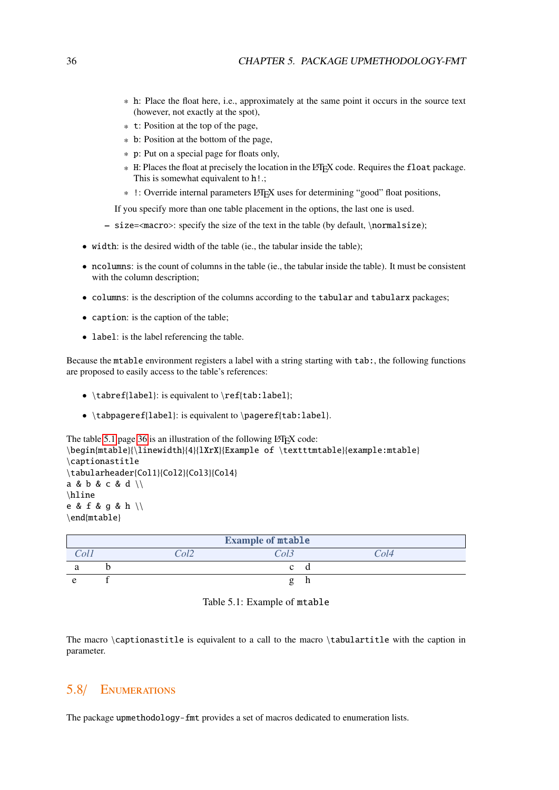- \* h: Place the float here, i.e., approximately at the same point it occurs in the source text (however, not exactly at the spot),
- \* t: Position at the top of the page,
- \* b: Position at the bottom of the page,
- \* p: Put on a special page for floats only,
- \* H: Places the float at precisely the location in the LAT<sub>E</sub>X code. Requires the float package. This is somewhat equivalent to  $h$ !.;
- \* !: Override internal parameters LATEX uses for determining "good" float positions,

If you specify more than one table placement in the options, the last one is used.

- size=<macro>: specify the size of the text in the table (by default, \normalsize);
- width: is the desired width of the table (ie., the tabular inside the table);
- ncolumns: is the count of columns in the table (ie., the tabular inside the table). It must be consistent with the column description;
- columns: is the description of the columns according to the tabular and tabularx packages;
- caption: is the caption of the table;
- label: is the label referencing the table.

Because the mtable environment registers a label with a string starting with tab:, the following functions are proposed to easily access to the table's references:

- \tabref{label}: is equivalent to \ref{tab:label};
- \tabpageref{label}: is equivalent to \pageref{tab:label}.

```
 5.1 36 is an illustration of the following LATEX code:
\begin{mtable}{\linewidth}{4}{lXrX}{Example of \textttmtable}{example:mtable}
\captionastitle
\tabularheader{Col1}{Col2}{Col3}{Col4}
a & b & c & d \\
\hline
e & f & g & h \\
\end{mtable}
```
<span id="page-35-1"></span>

| <b>Example of mtable</b> |  |                     |  |  |  |  |  |  |
|--------------------------|--|---------------------|--|--|--|--|--|--|
|                          |  | $\Delta l^{\gamma}$ |  |  |  |  |  |  |
|                          |  |                     |  |  |  |  |  |  |
|                          |  |                     |  |  |  |  |  |  |

Table 5.1: Example of mtable

The macro \captionastitle is equivalent to a call to the macro \tabulartitle with the caption in parameter.

### <span id="page-35-0"></span>5.8/ Enumerations

The package upmethodology-fmt provides a set of macros dedicated to enumeration lists.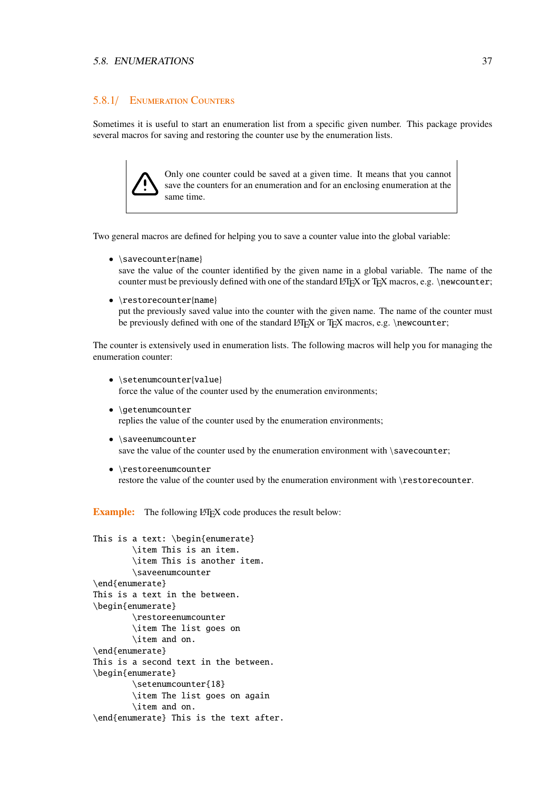#### 5.8. ENUMERATIONS 37

#### 5.8.1/ Enumeration Counters

Sometimes it is useful to start an enumeration list from a specific given number. This package provides several macros for saving and restoring the counter use by the enumeration lists.

> Only one counter could be saved at a given time. It means that you cannot save the counters for an enumeration and for an enclosing enumeration at the same time.

Two general macros are defined for helping you to save a counter value into the global variable:

• \savecounter{name}

save the value of the counter identified by the given name in a global variable. The name of the counter must be previously defined with one of the standard LATEX or TEX macros, e.g. \newcounter;

• \restorecounter{name} put the previously saved value into the counter with the given name. The name of the counter must be previously defined with one of the standard  $\mathbb{E} \mathbb{F} \times \mathbb{F}$  or  $\mathbb{F} \times \mathbb{F}$  macros, e.g. \newcounter;

The counter is extensively used in enumeration lists. The following macros will help you for managing the enumeration counter:

- \setenumcounter{value} force the value of the counter used by the enumeration environments;
- \getenumcounter replies the value of the counter used by the enumeration environments;
- \saveenumcounter save the value of the counter used by the enumeration environment with \savecounter;
- \restoreenumcounter restore the value of the counter used by the enumeration environment with \restorecounter.

**Example:** The following LATEX code produces the result below:

```
This is a text: \begin{enumerate}
        \item This is an item.
        \item This is another item.
        \saveenumcounter
\end{enumerate}
This is a text in the between.
\begin{enumerate}
        \restoreenumcounter
        \item The list goes on
        \item and on.
\end{enumerate}
This is a second text in the between.
\begin{enumerate}
        \setenumcounter{18}
        \item The list goes on again
        \item and on.
\end{enumerate} This is the text after.
```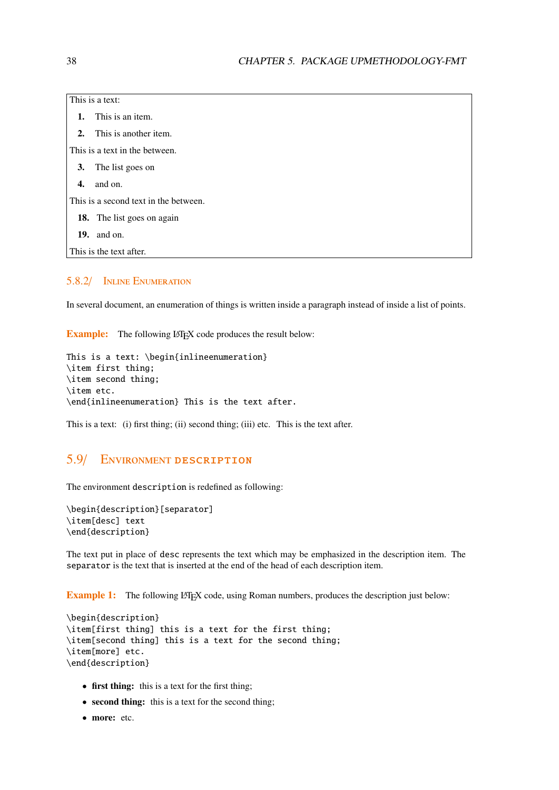| This is a text:                       |  |  |
|---------------------------------------|--|--|
| 1. This is an item.                   |  |  |
| 2. This is another item.              |  |  |
| This is a text in the between.        |  |  |
| 3. The list goes on                   |  |  |
| $4.$ and on.                          |  |  |
| This is a second text in the between. |  |  |
| <b>18.</b> The list goes on again     |  |  |

- 19. and on.
- This is the text after.

#### 5.8.2/ Inline Enumeration

In several document, an enumeration of things is written inside a paragraph instead of inside a list of points.

**Example:** The following LATEX code produces the result below:

```
This is a text: \begin{inlineenumeration}
\item first thing;
\item second thing;
\item etc.
\end{inlineenumeration} This is the text after.
```
This is a text: (i) first thing; (ii) second thing; (iii) etc. This is the text after.

# 5.9/ Environment description

The environment description is redefined as following:

```
\begin{description}[separator]
\item[desc] text
\end{description}
```
The text put in place of desc represents the text which may be emphasized in the description item. The separator is the text that is inserted at the end of the head of each description item.

**Example 1:** The following LATEX code, using Roman numbers, produces the description just below:

```
\begin{description}
\item[first thing] this is a text for the first thing;
\item[second thing] this is a text for the second thing;
\item[more] etc.
\end{description}
```
- first thing: this is a text for the first thing;
- second thing: this is a text for the second thing;
- more: etc.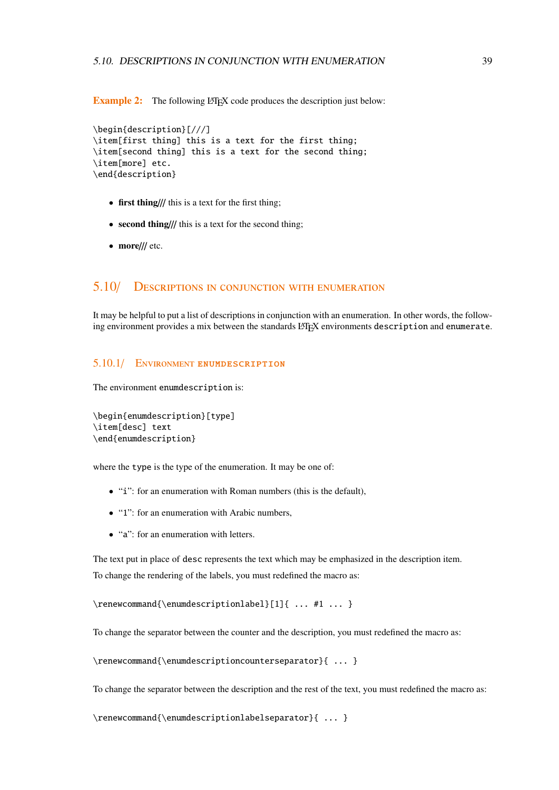**Example 2:** The following LATEX code produces the description just below:

```
\begin{description}[///]
\item[first thing] this is a text for the first thing;
\item[second thing] this is a text for the second thing;
\item[more] etc.
\end{description}
```
- first thing/// this is a text for the first thing;
- second thing/// this is a text for the second thing;
- more/// etc.

# 5.10/ Descriptions in conjunction with enumeration

It may be helpful to put a list of descriptions in conjunction with an enumeration. In other words, the following environment provides a mix between the standards L'FEX environments description and enumerate.

#### 5.10.1/ Environment enumdescription

The environment enumdescription is:

```
\begin{enumdescription}[type]
\item[desc] text
\end{enumdescription}
```
where the type is the type of the enumeration. It may be one of:

- "i": for an enumeration with Roman numbers (this is the default),
- "1": for an enumeration with Arabic numbers,
- "a": for an enumeration with letters.

The text put in place of desc represents the text which may be emphasized in the description item. To change the rendering of the labels, you must redefined the macro as:

\renewcommand{\enumdescriptionlabel}[1]{ ... #1 ... }

To change the separator between the counter and the description, you must redefined the macro as:

\renewcommand{\enumdescriptioncounterseparator}{ ... }

To change the separator between the description and the rest of the text, you must redefined the macro as:

\renewcommand{\enumdescriptionlabelseparator}{ ... }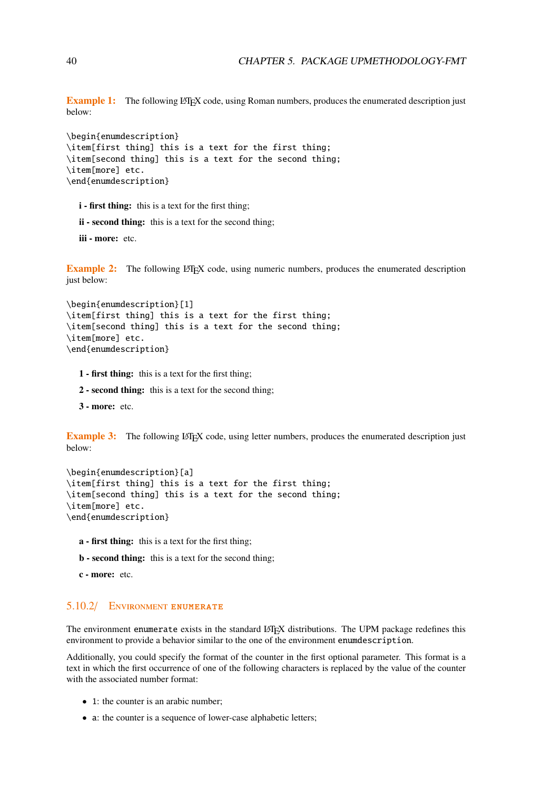**Example 1:** The following L<sup>T</sup>FX code, using Roman numbers, produces the enumerated description just below:

```
\begin{enumdescription}
\item[first thing] this is a text for the first thing;
\item[second thing] this is a text for the second thing;
\item[more] etc.
\end{enumdescription}
```
- i first thing: this is a text for the first thing;
- ii second thing: this is a text for the second thing;
- iii more: etc.

Example 2: The following LATEX code, using numeric numbers, produces the enumerated description just below:

```
\begin{enumdescription}[1]
\item[first thing] this is a text for the first thing;
\item[second thing] this is a text for the second thing;
\item[more] etc.
\end{enumdescription}
```
- 1 first thing: this is a text for the first thing;
- 2 second thing: this is a text for the second thing;
- 3 more: etc.

**Example 3:** The following LATEX code, using letter numbers, produces the enumerated description just below:

```
\begin{enumdescription}[a]
\item[first thing] this is a text for the first thing;
\item[second thing] this is a text for the second thing;
\item[more] etc.
\end{enumdescription}
```
- a first thing: this is a text for the first thing;
- b second thing: this is a text for the second thing;
- c more: etc.

#### 5.10.2/ Environment enumerate

The environment enumerate exists in the standard LATEX distributions. The UPM package redefines this environment to provide a behavior similar to the one of the environment enumdescription.

Additionally, you could specify the format of the counter in the first optional parameter. This format is a text in which the first occurrence of one of the following characters is replaced by the value of the counter with the associated number format:

- 1: the counter is an arabic number;
- a: the counter is a sequence of lower-case alphabetic letters;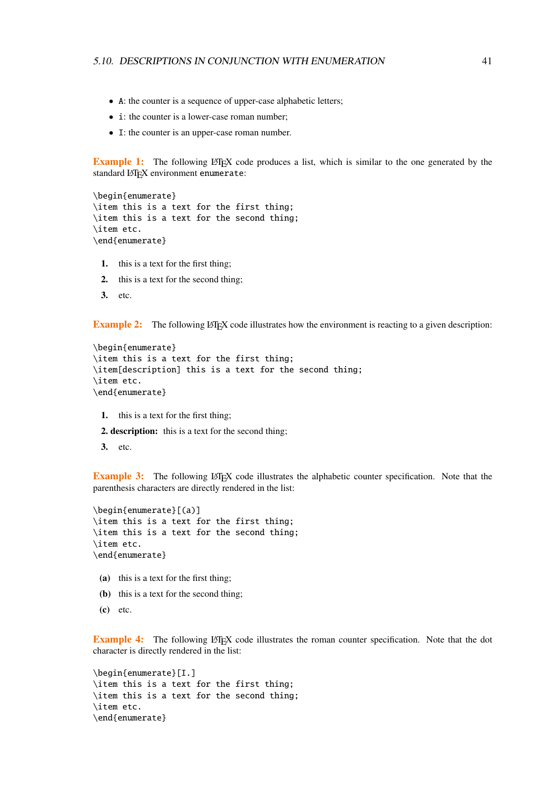- A: the counter is a sequence of upper-case alphabetic letters;
- i: the counter is a lower-case roman number;
- I: the counter is an upper-case roman number.

**Example 1:** The following LATEX code produces a list, which is similar to the one generated by the standard LATEX environment enumerate:

```
\begin{enumerate}
\item this is a text for the first thing;
\item this is a text for the second thing;
\item etc.
\end{enumerate}
```
- 1. this is a text for the first thing;
- 2. this is a text for the second thing;
- 3. etc.

**Example 2:** The following LATEX code illustrates how the environment is reacting to a given description:

```
\begin{enumerate}
\item this is a text for the first thing;
\item[description] this is a text for the second thing;
\item etc.
\end{enumerate}
```
- 1. this is a text for the first thing;
- 2. description: this is a text for the second thing;
- 3. etc.

**Example 3:** The following LATEX code illustrates the alphabetic counter specification. Note that the parenthesis characters are directly rendered in the list:

```
\begin{enumerate}[(a)]
\item this is a text for the first thing;
\item this is a text for the second thing;
\item etc.
\end{enumerate}
```
- (a) this is a text for the first thing;
- (b) this is a text for the second thing;
- (c) etc.

**Example 4:** The following LATEX code illustrates the roman counter specification. Note that the dot character is directly rendered in the list:

```
\begin{enumerate}[I.]
\item this is a text for the first thing;
\item this is a text for the second thing;
\item etc.
\end{enumerate}
```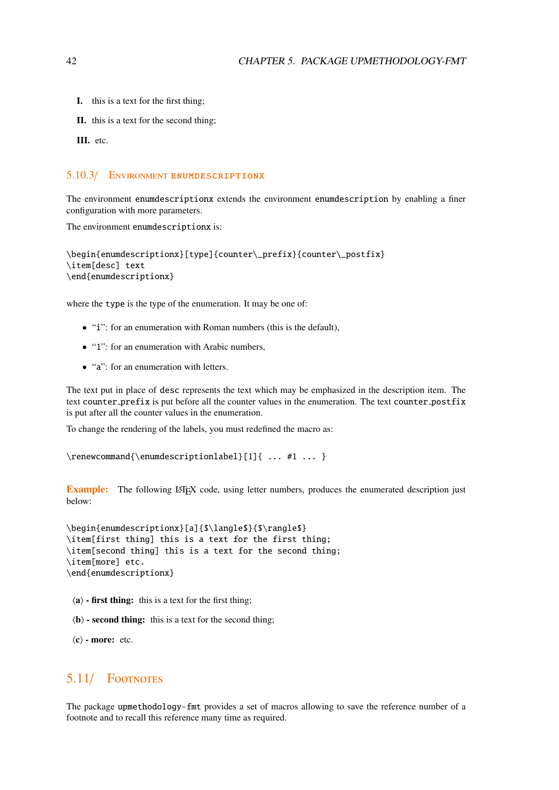- I. this is a text for the first thing;
- II. this is a text for the second thing;
- III. etc.

#### 5.10.3/ Environment enumdescriptionx

The environment enumdescriptionx extends the environment enumdescription by enabling a finer configuration with more parameters.

The environment enumdescriptionx is:

```
\begin{enumdescriptionx}[type]{counter\_prefix}{counter\_postfix}
\item[desc] text
\end{enumdescriptionx}
```
where the type is the type of the enumeration. It may be one of:

- "i": for an enumeration with Roman numbers (this is the default),
- "1": for an enumeration with Arabic numbers,
- "a": for an enumeration with letters.

The text put in place of desc represents the text which may be emphasized in the description item. The text counter prefix is put before all the counter values in the enumeration. The text counter postfix is put after all the counter values in the enumeration.

To change the rendering of the labels, you must redefined the macro as:

\renewcommand{\enumdescriptionlabel}[1]{ ... #1 ... }

**Example:** The following LATEX code, using letter numbers, produces the enumerated description just below:

\begin{enumdescriptionx}[a]{\$\langle\$}{\$\rangle\$} \item[first thing] this is a text for the first thing; \item[second thing] this is a text for the second thing; \item[more] etc. \end{enumdescriptionx}

- $\langle a \rangle$  first thing: this is a text for the first thing;
- $\langle \mathbf{b} \rangle$  second thing: this is a text for the second thing;

 $\langle c \rangle$  - more: etc.

## 5.11/ Footnotes

The package upmethodology-fmt provides a set of macros allowing to save the reference number of a footnote and to recall this reference many time as required.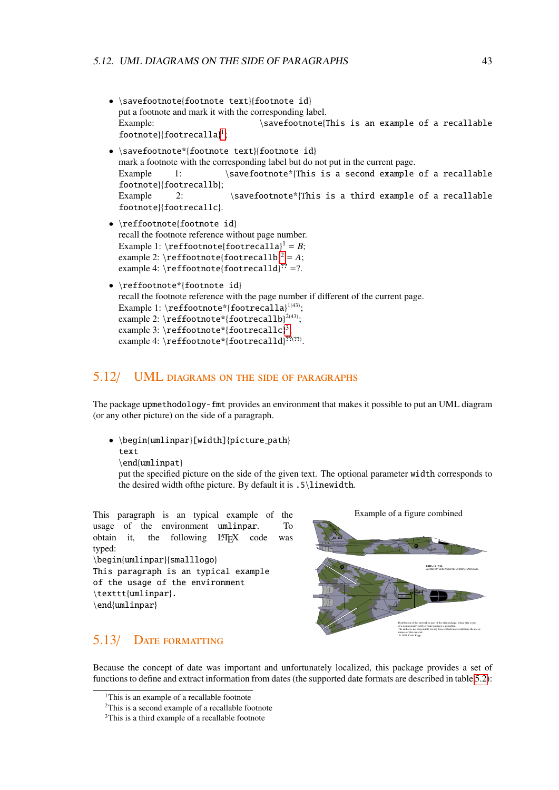- \savefootnote{footnote text}{footnote id} put a footnote and mark it with the corresponding label. Example:  $\simeq$  \savefootnote{This is an example of a recallable footnote}{footrecalla} [1](#page-42-0) ;
- \savefootnote\*{footnote text}{footnote id} mark a footnote with the corresponding label but do not put in the current page. Example 1: \savefootnote\*{This is a second example of a recallable footnote}{footrecallb}; Example 2: \savefootnote\*{This is a third example of a recallable footnote}{footrecallc}.
- \reffootnote{footnote id} recall the footnote reference without page number. Example 1:  $\reffootnote{footrecalla}^1 = B;$ example [2](#page-42-1):  $\reffootnote{foottree}2-1$ ; example 4: \reffootnote{footrecalld} $?' = ?$ .
- \reffootnote\*{footnote id} recall the footnote reference with the page number if different of the current page. Example 1: \reffootnote\*{footrecalla}<sup>1(43)</sup>; example 2: \reffootnote\*{footrecallb} $^{2(43)};$ example [3](#page-42-2): \reffootnote\*{footrecallc}<sup>3</sup>; example 4: \reffootnote\*{footrecalld}<sup>??(??</sup>).

#### 5.12/ UML diagrams on the side of paragraphs

The package upmethodology-fmt provides an environment that makes it possible to put an UML diagram (or any other picture) on the side of a paragraph.

• \begin{umlinpar}[width]{picture path} text

\end{umlinpat}

put the specified picture on the side of the given text. The optional parameter width corresponds to the desired width ofthe picture. By default it is .5\linewidth.

This paragraph is an typical example of the usage of the environment umlinpar. To obtain it, the following LATEX code was typed: \begin{umlinpar}{smalllogo} This paragraph is an typical example of the usage of the environment \texttt{umlinpar}. \end{umlinpar}

# Example of a figure combined GUNSHIP GREY/OLIVE DRAB/CHARCOAL **F/RF−111C/G A8−132** The author is not responsible for any losses which may result from the use or Distribution of this artwork as part of the xfig package, where xfig is part of a commercially sold software package is permitted. misuse of this material. © 1995, Carlo Kopp

# 5.13/ Date formatting

Because the concept of date was important and unfortunately localized, this package provides a set of functions to define and extract information from dates (the supported date formats are described in table [5.2\)](#page-43-0):

<span id="page-42-0"></span><sup>&</sup>lt;sup>1</sup>This is an example of a recallable footnote

<span id="page-42-1"></span><sup>2</sup>This is a second example of a recallable footnote

<span id="page-42-2"></span><sup>&</sup>lt;sup>3</sup>This is a third example of a recallable footnote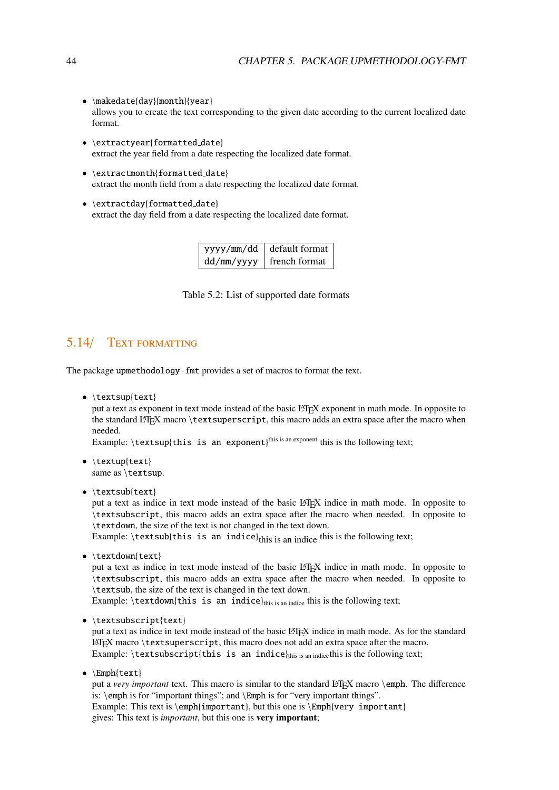- \makedate{day}{month}{year} allows you to create the text corresponding to the given date according to the current localized date format.
- \extractyear{formatted\_date} extract the year field from a date respecting the localized date format.
- \extractmonth{formatted\_date} extract the month field from a date respecting the localized date format.
- <span id="page-43-0"></span>• \extractday{formatted\_date} extract the day field from a date respecting the localized date format.

| yyyy/mm/dd | default format |
|------------|----------------|
| dd/mm/yyyy | french format  |

Table 5.2: List of supported date formats

# 5.14/ TEXT FORMATTING

The package upmethodology-fmt provides a set of macros to format the text.

• \textsup{text}

put a text as exponent in text mode instead of the basic LATEX exponent in math mode. In opposite to the standard LATEX macro \textsuperscript, this macro adds an extra space after the macro when needed.

Example:  $\text{textsup{}$  this is an exponent)<sup>this is an exponent</sup> this is the following text;

- \textup{text} same as \textsup.
- \textsub{text}

put a text as indice in text mode instead of the basic LATEX indice in math mode. In opposite to \textsubscript, this macro adds an extra space after the macro when needed. In opposite to \textdown, the size of the text is not changed in the text down.

Example:  $\text{textsub{this is an} indicate}$  is an indice  $\text{this is an}$  indice this is the following text;

• \textdown{text}

put a text as indice in text mode instead of the basic LATEX indice in math mode. In opposite to \textsubscript, this macro adds an extra space after the macro when needed. In opposite to \textsub, the size of the text is changed in the text down.

Example:  $\text{textdown{this is an induce}}_{this is an induce}$  this is the following text;

• \textsubscript{text}

put a text as indice in text mode instead of the basic LATEX indice in math mode. As for the standard LATEX macro \textsuperscript, this macro does not add an extra space after the macro. Example:  $\text{textsubscript}$ this is an indice $\theta$ this is an indicethis is the following text;

•  $\mathbb{H}\text{text}$ 

put a *very important* text. This macro is similar to the standard LATEX macro \emph. The difference is: \emph is for "important things"; and \Emph is for "very important things". Example: This text is \emph{important}, but this one is \Emph{very important} gives: This text is *important*, but this one is very important;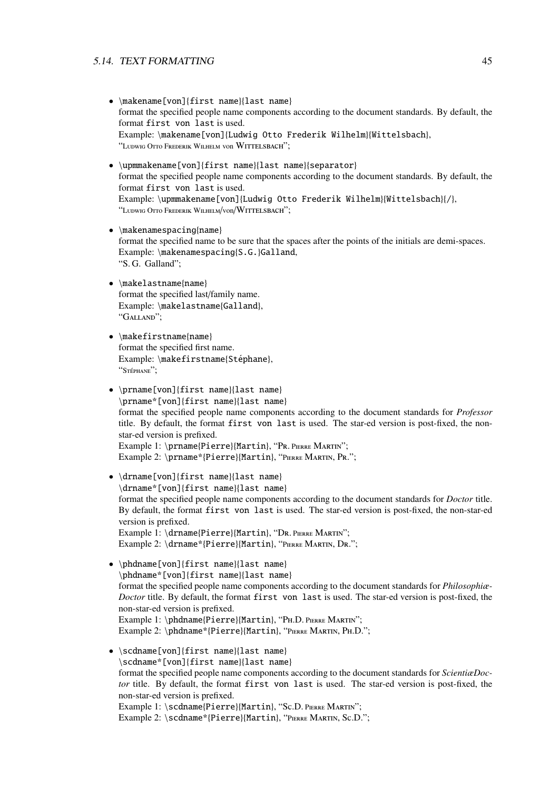#### 5.14. TEXT FORMATTING 45

- \makename[von]{first name}{last name} format the specified people name components according to the document standards. By default, the format first von last is used. Example: \makename[von]{Ludwig Otto Frederik Wilhelm}{Wittelsbach}, "Ludwig <sup>O</sup>tto <sup>F</sup>rederik <sup>W</sup>ilhelm von Wittelsbach";
- \upmmakename[von]{first name}{last name}{separator} format the specified people name components according to the document standards. By default, the format first von last is used. Example: \upmmakename[von]{Ludwig Otto Frederik Wilhelm}{Wittelsbach}{/}, "LUDWIG OTTO FREDERIK WILHELM/VON/WITTELSBACH";
- \makenamespacing{name} format the specified name to be sure that the spaces after the points of the initials are demi-spaces. Example: \makenamespacing{S.G.}Galland, "S. G. Galland";
- \makelastname{name} format the specified last/family name. Example: \makelastname{Galland}, "GALLAND";
- \makefirstname{name} format the specified first name. Example: \makefirstname{Stéphane}, "STÉPHANE";
- \prname[von]{first name}{last name} \prname\*[von]{first name}{last name} format the specified people name components according to the document standards for *Professor* title. By default, the format first von last is used. The star-ed version is post-fixed, the nonstar-ed version is prefixed. Example 1: \prname{Pierre}{Martin}, "PR. PIERRE MARTIN"; Example 2: \prname\*{Pierre}{Martin}, "PIERRE MARTIN, PR.";
- \drname[von]{first name}{last name} \drname\*[von]{first name}{last name} format the specified people name components according to the document standards for *Doctor* title. By default, the format first von last is used. The star-ed version is post-fixed, the non-star-ed version is prefixed. Example 1: \drname{Pierre}{Martin}, "DR. PIERRE MARTIN"; Example 2: \drname\*{Pierre}{Martin}, "PIERRE MARTIN, DR.";
- \phdname[von]{first name}{last name} \phdname\*[von]{first name}{last name} format the specified people name components according to the document standards for *Philosophiæ-Doctor* title. By default, the format first von last is used. The star-ed version is post-fixed, the non-star-ed version is prefixed. Example 1: \phdname{Pierre}{Martin}, "PH.D. PIERRE MARTIN"; Example 2: \phdname\*{Pierre}{Martin}, "PIERRE MARTIN, PH.D."; • \scdname[von]{first name}{last name}
- \scdname\*[von]{first name}{last name} format the specified people name components according to the document standards for *ScientiæDoctor* title. By default, the format first von last is used. The star-ed version is post-fixed, the non-star-ed version is prefixed. Example 1: \scdname{Pierre}{Martin}, "Sc.D. PIERRE MARTIN"; Example 2: \scdname\*{Pierre}{Martin}, "PIERRE MARTIN, Sc.D.";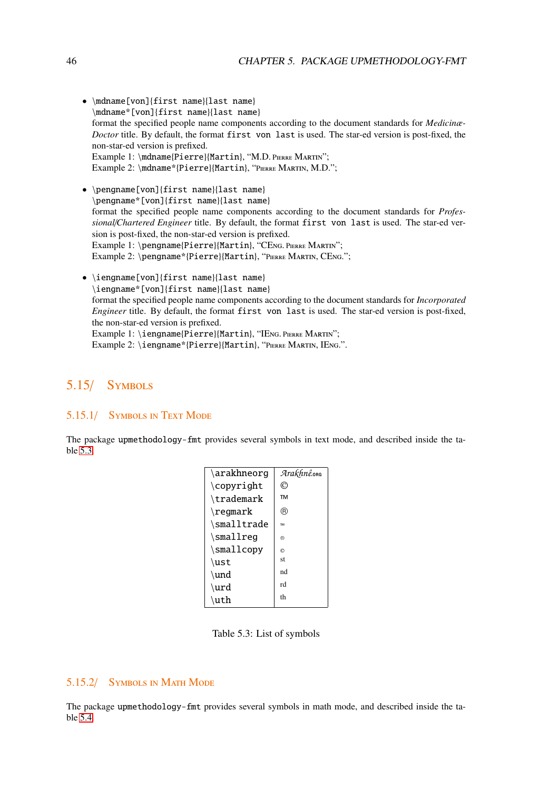- \mdname[von]{first name}{last name} \mdname\*[von]{first name}{last name} format the specified people name components according to the document standards for *Medicinæ-Doctor* title. By default, the format first von last is used. The star-ed version is post-fixed, the non-star-ed version is prefixed. Example 1: \mdname{Pierre}{Martin}, "M.D. PIERRE MARTIN"; Example 2: \mdname\*{Pierre}{Martin}, "Pierre Martin, M.D.";
- \pengname[von]{first name}{last name} \pengname\*[von]{first name}{last name} format the specified people name components according to the document standards for *Professional*/*Chartered Engineer* title. By default, the format first von last is used. The star-ed version is post-fixed, the non-star-ed version is prefixed. Example 1: \pengname{Pierre}{Martin}, "CENG. PIERRE MARTIN"; Example 2: \pengname\*{Pierre}{Martin}, "PIERRE MARTIN, CENG.";
- \iengname[von]{first name}{last name} \iengname\*[von]{first name}{last name} format the specified people name components according to the document standards for *Incorporated Engineer* title. By default, the format first von last is used. The star-ed version is post-fixed, the non-star-ed version is prefixed. Example 1: \iengname{Pierre}{Martin}, "IENG. PIERRE MARTIN"; Example 2: \iengname\*{Pierre}{Martin}, "PIERRE MARTIN, IENG.".

# 5.15/ Symbols

#### 5.15.1/ Symbols in Text Mode

<span id="page-45-0"></span>The package upmethodology-fmt provides several symbols in text mode, and described inside the table [5.3.](#page-45-0)

| \arakhneorg      | Arakhnê.org |
|------------------|-------------|
| \copyright       | Ć           |
| \trademark       | <b>TM</b>   |
| $\text{regular}$ | (R)         |
| \smalltrade      | <b>TM</b>   |
| \smallreg        | <b>(R)</b>  |
| \smallcopy       | $\odot$     |
| \ust             | st          |
| \und             | nd          |
| \urd             | rd          |
| \uth             | th          |

Table 5.3: List of symbols

#### 5.15.2/ Symbols in Math Mode

The package upmethodology-fmt provides several symbols in math mode, and described inside the table [5.4.](#page-46-0)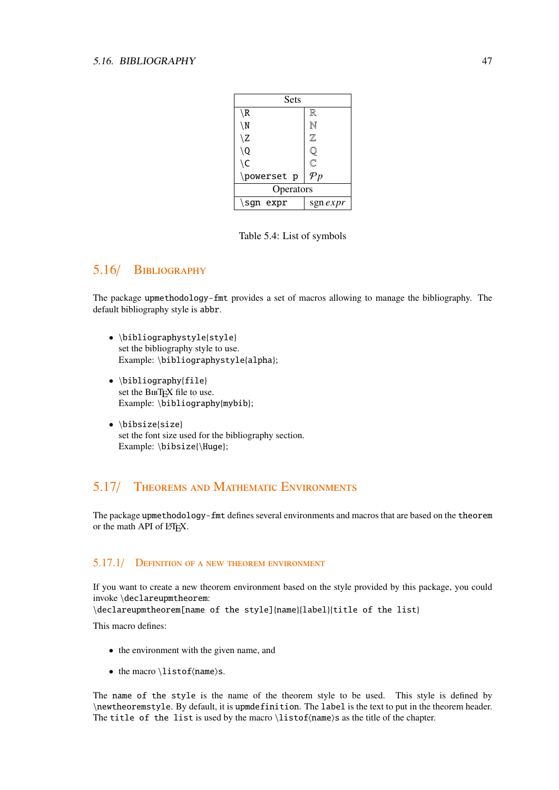<span id="page-46-0"></span>

| Sets          |                         |
|---------------|-------------------------|
| $\setminus R$ | $\mathbb R$             |
| $\setminus N$ | $\mathbb N$             |
| \Z            | Z                       |
| \Q            | Ų                       |
| $\setminus C$ | $\overline{\mathbb{C}}$ |
| \powerset p   | $\mathcal{P}p$          |
| Operators     |                         |
| \sgn $expr$   | sgn <i>expr</i>         |

Table 5.4: List of symbols

# 5.16/ Bibliography

The package upmethodology-fmt provides a set of macros allowing to manage the bibliography. The default bibliography style is abbr.

- \bibliographystyle{style} set the bibliography style to use. Example: \bibliographystyle{alpha};
- \bibliography{file} set the BIBTEX file to use. Example: \bibliography{mybib};
- \bibsize{size} set the font size used for the bibliography section. Example: \bibsize{\Huge};

# 5.17/ Theorems and Mathematic Environments

The package upmethodology-fmt defines several environments and macros that are based on the theorem or the math API of LATEX.

#### 5.17.1/ Definition of a new theorem environment

If you want to create a new theorem environment based on the style provided by this package, you could invoke \declareupmtheorem:

\declareupmtheorem[name of the style]{name}{label}{title of the list}

This macro defines:

- the environment with the given name, and
- the macro \listof $\langle$ name $\rangle$ s.

The name of the style is the name of the theorem style to be used. This style is defined by \newtheoremstyle. By default, it is upmdefinition. The label is the text to put in the theorem header. The title of the list is used by the macro  $\listof$  (name)s as the title of the chapter.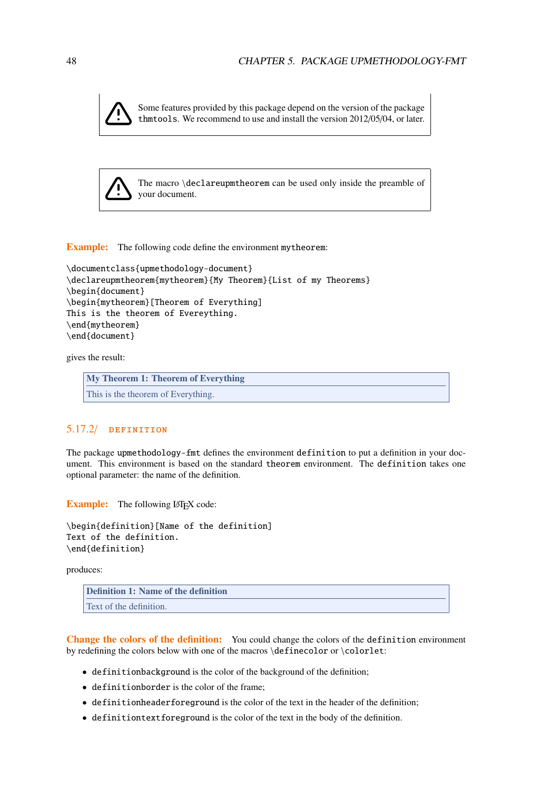Some features provided by this package depend on the version of the package thmtools. We recommend to use and install the version 2012/05/04, or later.



The macro \declareupmtheorem can be used only inside the preamble of your document.

Example: The following code define the environment mytheorem:

```
\documentclass{upmethodology-document}
\declareupmtheorem{mytheorem}{My Theorem}{List of my Theorems}
\begin{document}
\begin{mytheorem}[Theorem of Everything]
This is the theorem of Evereything.
\end{mytheorem}
\end{document}
```
gives the result:

My Theorem 1: Theorem of Everything This is the theorem of Everything.

#### 5.17.2/ definition

The package upmethodology-fmt defines the environment definition to put a definition in your document. This environment is based on the standard theorem environment. The definition takes one optional parameter: the name of the definition.

Example: The following LAT<sub>E</sub>X code:

\begin{definition}[Name of the definition] Text of the definition. \end{definition}

produces:

Definition 1: Name of the definition Text of the definition.

Change the colors of the definition: You could change the colors of the definition environment by redefining the colors below with one of the macros \definecolor or \colorlet:

- definitionbackground is the color of the background of the definition;
- definitionborder is the color of the frame;
- definitionheaderforeground is the color of the text in the header of the definition;
- definitiontextforeground is the color of the text in the body of the definition.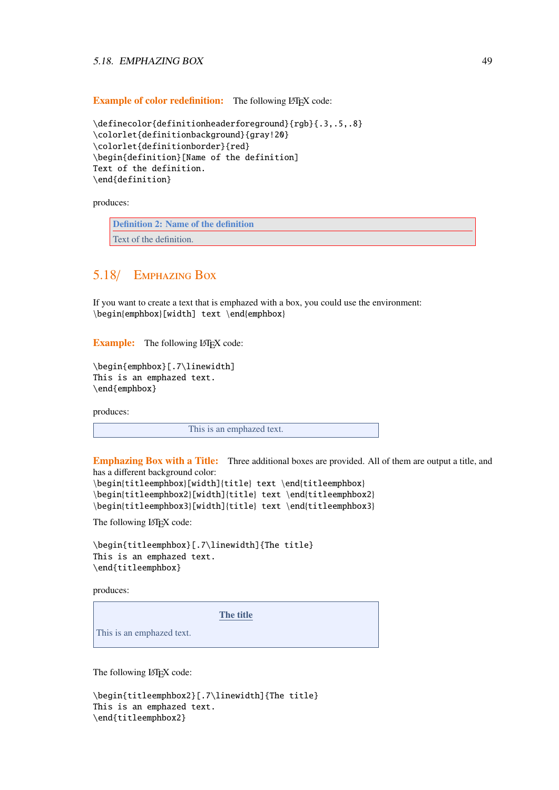#### 5.18. EMPHAZING BOX 49

Example of color redefinition: The following LATEX code:

```
\definecolor{definitionheaderforeground}{rgb}{.3,.5,.8}
\colorlet{definitionbackground}{gray!20}
\colorlet{definitionborder}{red}
\begin{definition}[Name of the definition]
Text of the definition.
\end{definition}
```
produces:

Definition 2: Name of the definition Text of the definition.

## 5.18/ Emphazing Box

If you want to create a text that is emphazed with a box, you could use the environment: \begin{emphbox}[width] text \end{emphbox}

Example: The following LATEX code:

```
\begin{emphbox}[.7\linewidth]
This is an emphazed text.
\end{emphbox}
```
produces:

This is an emphazed text.

Emphazing Box with a Title: Three additional boxes are provided. All of them are output a title, and has a different background color:

```
\begin{titleemphbox}[width]{title} text \end{titleemphbox}
\begin{titleemphbox2}[width]{title} text \end{titleemphbox2}
\begin{titleemphbox3}[width]{title} text \end{titleemphbox3}
```
The following LATEX code:

```
\begin{titleemphbox}[.7\linewidth]{The title}
This is an emphazed text.
\end{titleemphbox}
```
produces:

The title

This is an emphazed text.

The following LATEX code:

```
\begin{titleemphbox2}[.7\linewidth]{The title}
This is an emphazed text.
\end{titleemphbox2}
```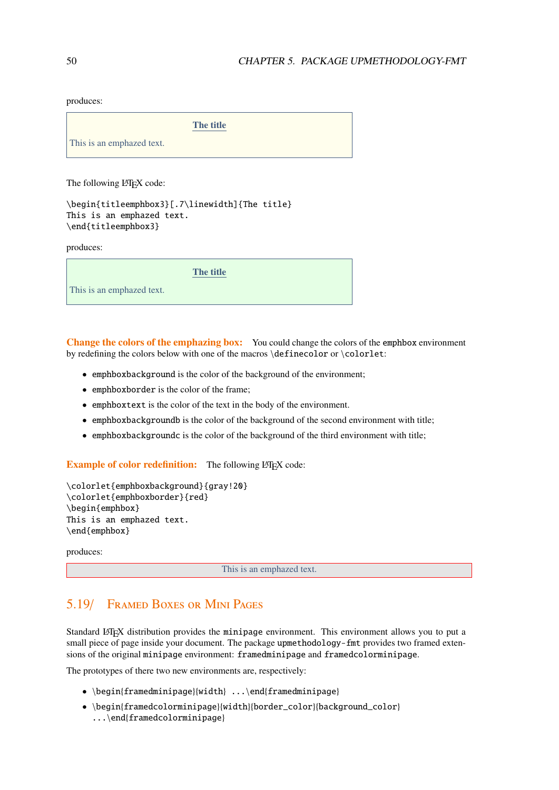produces:

The title

This is an emphazed text.

The following LATEX code:

```
\begin{titleemphbox3}[.7\linewidth]{The title}
This is an emphazed text.
\end{titleemphbox3}
```
produces:

The title

This is an emphazed text.

Change the colors of the emphazing box: You could change the colors of the emphbox environment by redefining the colors below with one of the macros \definecolor or \colorlet:

- emphboxbackground is the color of the background of the environment;
- emphboxborder is the color of the frame;
- emphboxtext is the color of the text in the body of the environment.
- emphboxbackgroundb is the color of the background of the second environment with title;
- emphboxbackgroundc is the color of the background of the third environment with title;

Example of color redefinition: The following LATEX code:

```
\colorlet{emphboxbackground}{gray!20}
\colorlet{emphboxborder}{red}
\begin{emphbox}
This is an emphazed text.
\end{emphbox}
```
produces:

This is an emphazed text.

# 5.19/ Framed Boxes or Mini Pages

Standard LATEX distribution provides the minipage environment. This environment allows you to put a small piece of page inside your document. The package upmethodology-fmt provides two framed extensions of the original minipage environment: framedminipage and framedcolorminipage.

The prototypes of there two new environments are, respectively:

- \begin{framedminipage}{width} ...\end{framedminipage}
- \begin{framedcolorminipage}{width}{border\_color}{background\_color} ...\end{framedcolorminipage}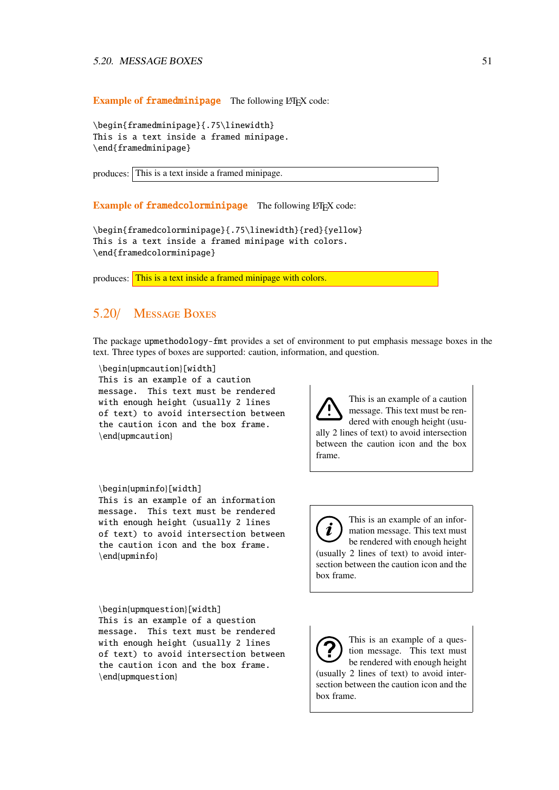Example of framedminipage The following LHFX code:

\begin{framedminipage}{.75\linewidth} This is a text inside a framed minipage. \end{framedminipage}

produces: This is a text inside a framed minipage.

Example of framedcolorminipage The following LATEX code:

\begin{framedcolorminipage}{.75\linewidth}{red}{yellow} This is a text inside a framed minipage with colors. \end{framedcolorminipage}

produces: This is a text inside a framed minipage with colors.

## 5.20/ Message Boxes

The package upmethodology-fmt provides a set of environment to put emphasis message boxes in the text. Three types of boxes are supported: caution, information, and question.

\begin{upmcaution}[width] This is an example of a caution message. This text must be rendered with enough height (usually 2 lines of text) to avoid intersection between the caution icon and the box frame. \end{upmcaution}

#### \begin{upminfo}[width]

This is an example of an information message. This text must be rendered with enough height (usually 2 lines of text) to avoid intersection between the caution icon and the box frame. \end{upminfo}

between the caution icon and the box frame.

ally 2 lines of text) to avoid intersection

This is an example of a caution message. This text must be rendered with enough height (usu-

This is an example of an infor- $\boldsymbol{i}$ mation message. This text must be rendered with enough height (usually 2 lines of text) to avoid intersection between the caution icon and the box frame.

\begin{upmquestion}[width] This is an example of a question message. This text must be rendered with enough height (usually 2 lines of text) to avoid intersection between the caution icon and the box frame. \end{upmquestion}

This is an example of a question message. This text must be rendered with enough height (usually 2 lines of text) to avoid intersection between the caution icon and the box frame.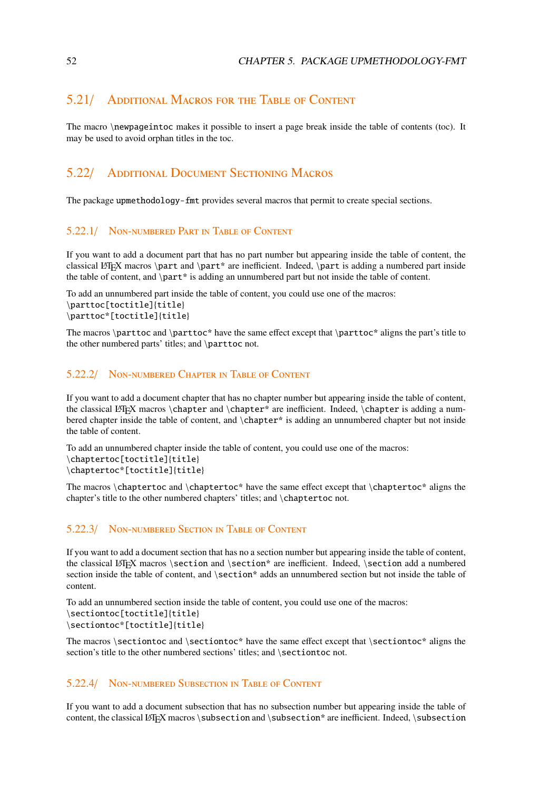## 5.21/ Additional Macros for the Table of Content

The macro \newpageintoc makes it possible to insert a page break inside the table of contents (toc). It may be used to avoid orphan titles in the toc.

# 5.22/ Additional Document Sectioning Macros

The package upmethodology-fmt provides several macros that permit to create special sections.

#### 5.22.1/ Non-numbered Part in Table of Content

If you want to add a document part that has no part number but appearing inside the table of content, the classical LATEX macros \part and \part\* are inefficient. Indeed, \part is adding a numbered part inside the table of content, and \part\* is adding an unnumbered part but not inside the table of content.

```
To add an unnumbered part inside the table of content, you could use one of the macros:
\parttoc[toctitle]{title}
\parttoc*[toctitle]{title}
```
The macros \parttoc and \parttoc\* have the same effect except that \parttoc\* aligns the part's title to the other numbered parts' titles; and \parttoc not.

#### 5.22.2/ Non-numbered Chapter in Table of Content

If you want to add a document chapter that has no chapter number but appearing inside the table of content, the classical LATEX macros \chapter and \chapter\* are inefficient. Indeed, \chapter is adding a numbered chapter inside the table of content, and \chapter\* is adding an unnumbered chapter but not inside the table of content.

```
To add an unnumbered chapter inside the table of content, you could use one of the macros:
\chaptertoc[toctitle]{title}
\chaptertoc*[toctitle]{title}
```
The macros \chaptertoc and \chaptertoc\* have the same effect except that \chaptertoc\* aligns the chapter's title to the other numbered chapters' titles; and \chaptertoc not.

#### 5.22.3/ Non-numbered Section in Table of Content

If you want to add a document section that has no a section number but appearing inside the table of content, the classical LATEX macros \section and \section\* are inefficient. Indeed, \section add a numbered section inside the table of content, and \section\* adds an unnumbered section but not inside the table of content.

```
To add an unnumbered section inside the table of content, you could use one of the macros:
\sectiontoc[toctitle]{title}
\sectiontoc*[toctitle]{title}
```
The macros \sectiontoc and \sectiontoc\* have the same effect except that \sectiontoc\* aligns the section's title to the other numbered sections' titles; and \sectiontoc not.

#### 5.22.4/ Non-numbered Subsection in Table of Content

If you want to add a document subsection that has no subsection number but appearing inside the table of content, the classical LATEX macros \subsection and \subsection\* are inefficient. Indeed, \subsection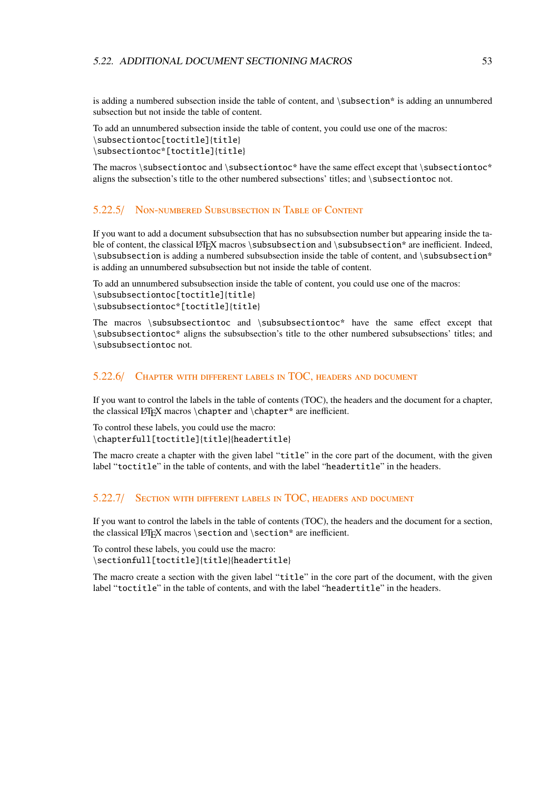is adding a numbered subsection inside the table of content, and \subsection\* is adding an unnumbered subsection but not inside the table of content.

```
To add an unnumbered subsection inside the table of content, you could use one of the macros:
\subsectiontoc[toctitle]{title}
\subsectiontoc*[toctitle]{title}
```
The macros  $\simeq$  and  $\simeq$  and  $\simeq$  have the same effect except that  $\simeq$ aligns the subsection's title to the other numbered subsections' titles; and \subsectiontoc not.

#### 5.22.5/ Non-numbered Subsubsection in Table of Content

If you want to add a document subsubsection that has no subsubsection number but appearing inside the table of content, the classical LATEX macros \subsubsection and \subsubsection\* are inefficient. Indeed, \subsubsection is adding a numbered subsubsection inside the table of content, and \subsubsection\* is adding an unnumbered subsubsection but not inside the table of content.

To add an unnumbered subsubsection inside the table of content, you could use one of the macros: \subsubsectiontoc[toctitle]{title} \subsubsectiontoc\*[toctitle]{title}

The macros \subsubsectiontoc and \subsubsectiontoc\* have the same effect except that \subsubsectiontoc\* aligns the subsubsection's title to the other numbered subsubsections' titles; and \subsubsectiontoc not.

#### 5.22.6/ Chapter with different labels in TOC, headers and document

If you want to control the labels in the table of contents (TOC), the headers and the document for a chapter, the classical LATEX macros  $\char`$  \chapter and  $\char`$  \chapter\* are inefficient.

To control these labels, you could use the macro: \chapterfull[toctitle]{title}{headertitle}

The macro create a chapter with the given label "title" in the core part of the document, with the given label "toctitle" in the table of contents, and with the label "headertitle" in the headers.

#### 5.22.7/ Section with different labels in TOC, headers and document

If you want to control the labels in the table of contents (TOC), the headers and the document for a section, the classical LATEX macros \section and \section\* are inefficient.

To control these labels, you could use the macro: \sectionfull[toctitle]{title}{headertitle}

The macro create a section with the given label "title" in the core part of the document, with the given label "toctitle" in the table of contents, and with the label "headertitle" in the headers.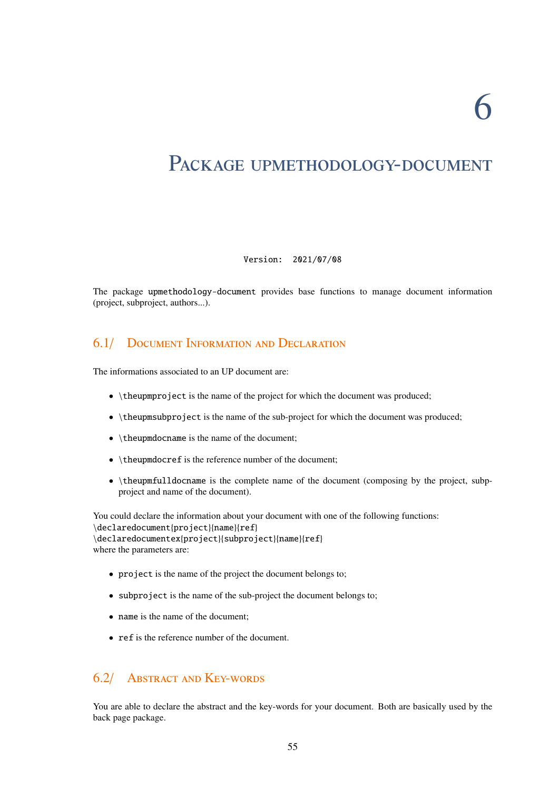6

# PACKAGE UPMETHODOLOGY-DOCUMENT

#### Version: 2021/07/08

The package upmethodology-document provides base functions to manage document information (project, subproject, authors...).

# 6.1/ Document Information and Declaration

The informations associated to an UP document are:

- \theupmproject is the name of the project for which the document was produced;
- \theupmsubproject is the name of the sub-project for which the document was produced;
- \theupmdocname is the name of the document;
- \theupmdocref is the reference number of the document;
- \theupmfulldocname is the complete name of the document (composing by the project, subpproject and name of the document).

You could declare the information about your document with one of the following functions: \declaredocument{project}{name}{ref} \declaredocumentex{project}{subproject}{name}{ref} where the parameters are:

- project is the name of the project the document belongs to;
- subproject is the name of the sub-project the document belongs to;
- name is the name of the document;
- ref is the reference number of the document.

# 6.2/ Abstract and Key-words

You are able to declare the abstract and the key-words for your document. Both are basically used by the back page package.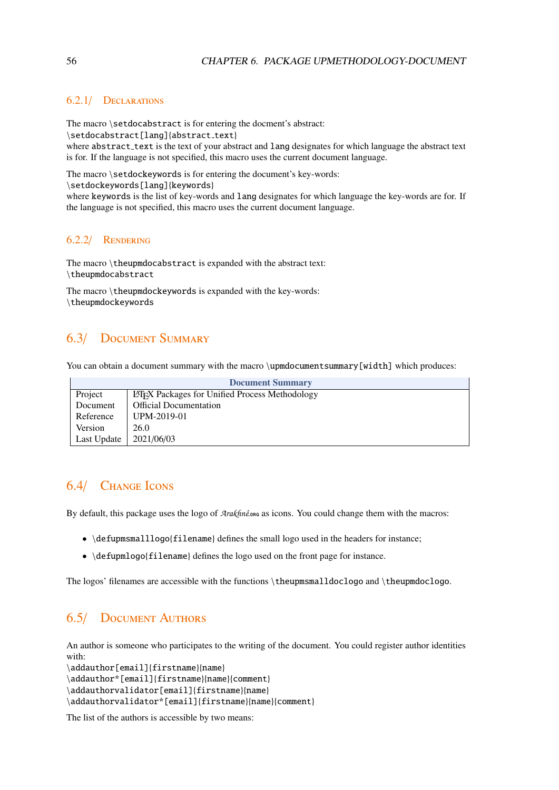#### 6.2.1/ Declarations

The macro \setdocabstract is for entering the docment's abstract:

\setdocabstract[lang]{abstract\_text}

where abstract\_text is the text of your abstract and lang designates for which language the abstract text is for. If the language is not specified, this macro uses the current document language.

The macro \setdockeywords is for entering the document's key-words:

\setdockeywords[lang]{keywords}

where keywords is the list of key-words and lang designates for which language the key-words are for. If the language is not specified, this macro uses the current document language.

#### 6.2.2/ Rendering

The macro \theupmdocabstract is expanded with the abstract text: \theupmdocabstract

The macro \theupmdockeywords is expanded with the key-words: \theupmdockeywords

# 6.3/ Document Summary

You can obtain a document summary with the macro \upmdocumentsummary [width] which produces:

| <b>Document Summary</b> |                                                       |  |
|-------------------------|-------------------------------------------------------|--|
| Project                 | <b>LATEX</b> Packages for Unified Process Methodology |  |
| Document                | <b>Official Documentation</b>                         |  |
| Reference               | UPM-2019-01                                           |  |
| Version                 | 26.0                                                  |  |
| Last Update             | 2021/06/03                                            |  |

# 6.4/ Change Icons

By default, this package uses the logo of  $\text{A}r\alpha\text{k}$  as icons. You could change them with the macros:

- \defupmsmalllogo{filename} defines the small logo used in the headers for instance;
- \defupmlogo{filename} defines the logo used on the front page for instance.

The logos' filenames are accessible with the functions \theupmsmalldoclogo and \theupmdoclogo.

# 6.5/ Document Authors

An author is someone who participates to the writing of the document. You could register author identities with:

```
\addauthor[email]{firstname}{name}
```
\addauthor\*[email]{firstname}{name}{comment}

\addauthorvalidator[email]{firstname}{name}

\addauthorvalidator\*[email]{firstname}{name}{comment}

The list of the authors is accessible by two means: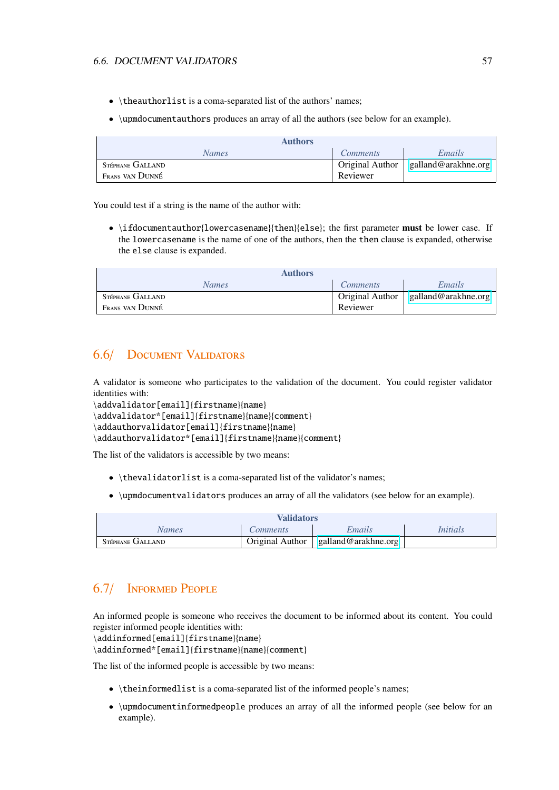#### 6.6. DOCUMENT VALIDATORS 57

- \theauthorlist is a coma-separated list of the authors' names;
- \upmdocumentauthors produces an array of all the authors (see below for an example).

|                  | <b>Authors</b>  |                        |                     |
|------------------|-----------------|------------------------|---------------------|
|                  | <b>Names</b>    | <i>Comments</i>        | Emails              |
| STÉPHANE GALLAND |                 | <b>Original Author</b> | galland@arakhne.org |
|                  | Frans van Dunné | Reviewer               |                     |

You could test if a string is the name of the author with:

• \ifdocumentauthor{lowercasename}{then}{else}; the first parameter **must** be lower case. If the lowercasename is the name of one of the authors, then the then clause is expanded, otherwise the else clause is expanded.

| <b>Authors</b>   |                 |                     |
|------------------|-----------------|---------------------|
| <b>Names</b>     | <i>Comments</i> | Emails              |
| STÉPHANE GALLAND | Original Author | galland@arakhne.org |
| Frans van Dunné  | Reviewer        |                     |

# 6.6/ Document Validators

A validator is someone who participates to the validation of the document. You could register validator identities with:

```
\addvalidator[email]{firstname}{name}
\addvalidator*[email]{firstname}{name}{comment}
\addauthorvalidator[email]{firstname}{name}
\addauthorvalidator*[email]{firstname}{name}{comment}
```
The list of the validators is accessible by two means:

- \thevalidatorlist is a coma-separated list of the validator's names;
- \upmdocumentvalidators produces an array of all the validators (see below for an example).

| <b>Validators</b> |                 |                     |                 |
|-------------------|-----------------|---------------------|-----------------|
| Names             | <i>Comments</i> | Emails              | <i>Initials</i> |
| STÉPHANE GALLAND  | Original Author | galland@arakhne.org |                 |

# 6.7/ Informed People

An informed people is someone who receives the document to be informed about its content. You could register informed people identities with:

\addinformed[email]{firstname}{name}

\addinformed\*[email]{firstname}{name}{comment}

The list of the informed people is accessible by two means:

- \theinformedlist is a coma-separated list of the informed people's names;
- \upmdocumentinformedpeople produces an array of all the informed people (see below for an example).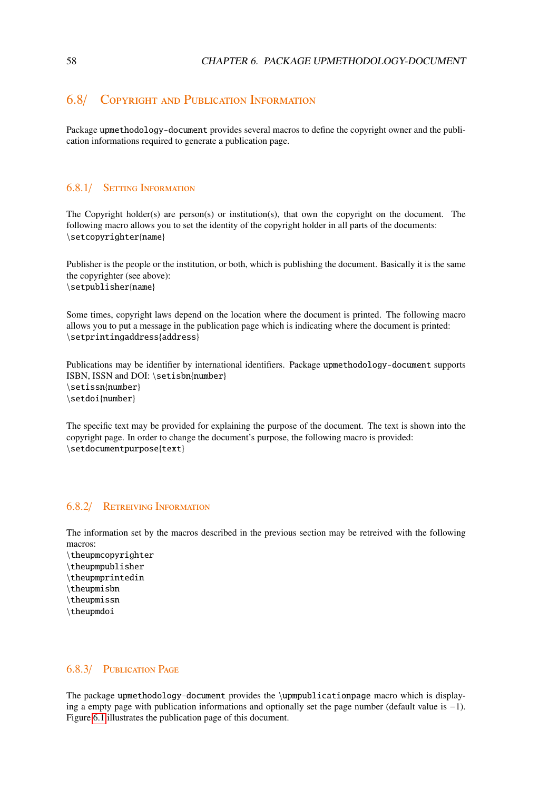# 6.8/ Copyright and Publication Information

Package upmethodology-document provides several macros to define the copyright owner and the publication informations required to generate a publication page.

#### 6.8.1/ Setting Information

The Copyright holder(s) are person(s) or institution(s), that own the copyright on the document. The following macro allows you to set the identity of the copyright holder in all parts of the documents: \setcopyrighter{name}

Publisher is the people or the institution, or both, which is publishing the document. Basically it is the same the copyrighter (see above): \setpublisher{name}

Some times, copyright laws depend on the location where the document is printed. The following macro allows you to put a message in the publication page which is indicating where the document is printed: \setprintingaddress{address}

Publications may be identifier by international identifiers. Package upmethodology-document supports ISBN, ISSN and DOI: \setisbn{number} \setissn{number} \setdoi{number}

The specific text may be provided for explaining the purpose of the document. The text is shown into the copyright page. In order to change the document's purpose, the following macro is provided: \setdocumentpurpose{text}

#### 6.8.2/ Retreiving Information

The information set by the macros described in the previous section may be retreived with the following macros:

- \theupmcopyrighter \theupmpublisher
- \theupmprintedin
- \theupmisbn
- \theupmissn
- \theupmdoi

#### 6.8.3/ Publication Page

The package upmethodology-document provides the \upmpublicationpage macro which is displaying a empty page with publication informations and optionally set the page number (default value is −1). Figure [6.1](#page-59-0) illustrates the publication page of this document.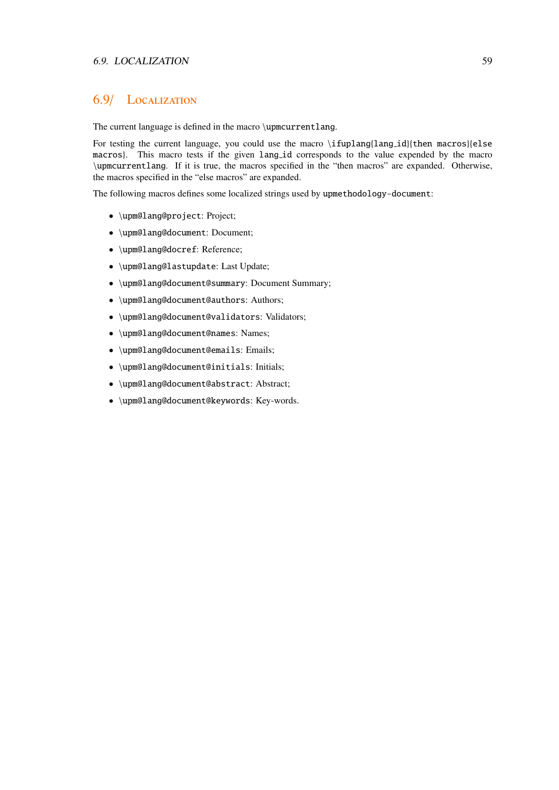## 6.9/ Localization

The current language is defined in the macro \upmcurrentlang.

For testing the current language, you could use the macro \ifuplang{lang\_id}{then macros}{else macros}. This macro tests if the given lang id corresponds to the value expended by the macro \upmcurrentlang. If it is true, the macros specified in the "then macros" are expanded. Otherwise, the macros specified in the "else macros" are expanded.

The following macros defines some localized strings used by upmethodology-document:

- \upm@lang@project: Project;
- \upm@lang@document: Document;
- \upm@lang@docref: Reference;
- \upm@lang@lastupdate: Last Update;
- \upm@lang@document@summary: Document Summary;
- \upm@lang@document@authors: Authors;
- \upm@lang@document@validators: Validators;
- \upm@lang@document@names: Names;
- \upm@lang@document@emails: Emails;
- \upm@lang@document@initials: Initials;
- \upm@lang@document@abstract: Abstract;
- \upm@lang@document@keywords: Key-words.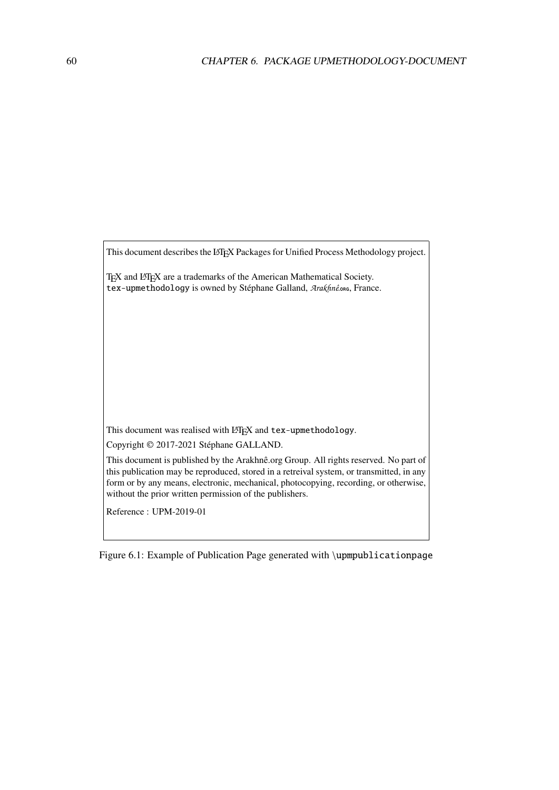<span id="page-59-0"></span>This document describes the LATEX Packages for Unified Process Methodology project.

TEX and LATEX are a trademarks of the American Mathematical Society. tex-upmethodology is owned by Stéphane Galland, Arakhnê.org, France.

This document was realised with LHEX and tex-upmethodology.

Copyright © 2017-2021 Stéphane GALLAND.

This document is published by the Arakhnê.org Group. All rights reserved. No part of this publication may be reproduced, stored in a retreival system, or transmitted, in any form or by any means, electronic, mechanical, photocopying, recording, or otherwise, without the prior written permission of the publishers.

Reference : UPM-2019-01

Figure 6.1: Example of Publication Page generated with \upmpublicationpage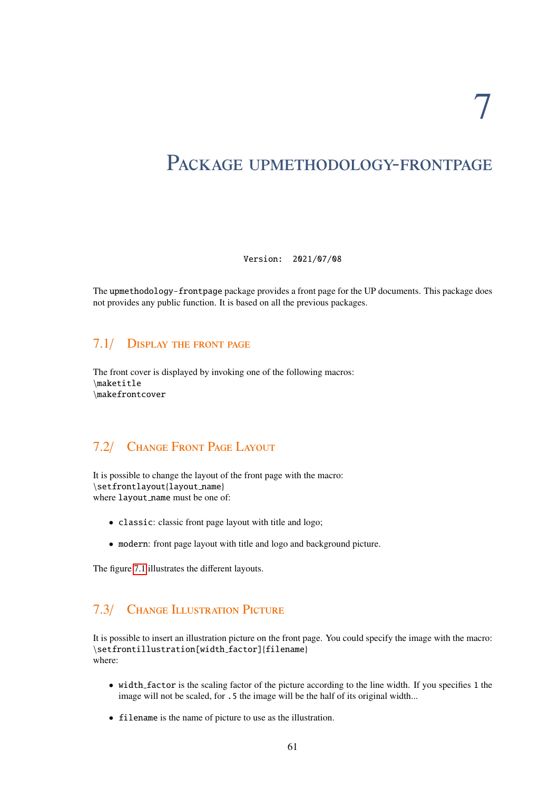# PACKAGE UPMETHODOLOGY-FRONTPAGE

Version: 2021/07/08

The upmethodology-frontpage package provides a front page for the UP documents. This package does not provides any public function. It is based on all the previous packages.

#### 7.1/ Display the front page

The front cover is displayed by invoking one of the following macros: \maketitle \makefrontcover

# 7.2/ Change Front Page Layout

It is possible to change the layout of the front page with the macro: \setfrontlayout{layout name} where layout name must be one of:

- classic: classic front page layout with title and logo;
- modern: front page layout with title and logo and background picture.

The figure [7.1](#page-61-0) illustrates the different layouts.

# 7.3/ Change Illustration Picture

It is possible to insert an illustration picture on the front page. You could specify the image with the macro: \setfrontillustration[width factor]{filename} where:

- width factor is the scaling factor of the picture according to the line width. If you specifies 1 the image will not be scaled, for .5 the image will be the half of its original width...
- filename is the name of picture to use as the illustration.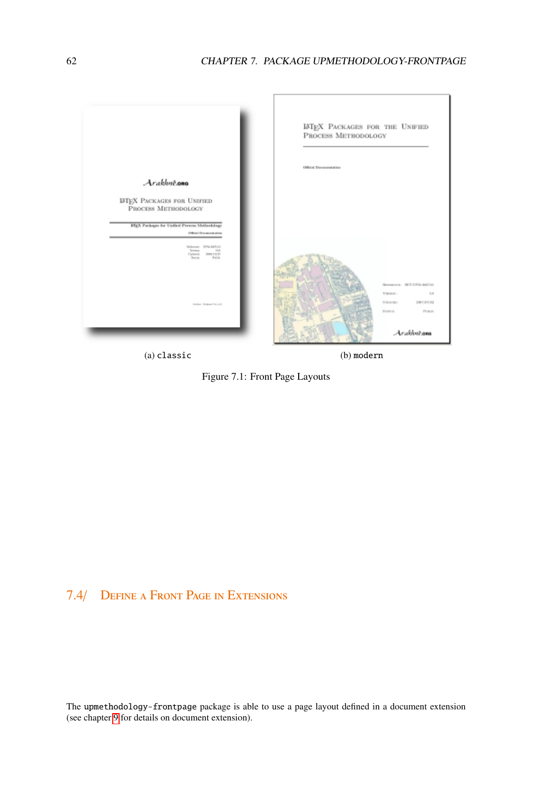<span id="page-61-0"></span>



# 7.4/ Define a Front Page in Extensions

The upmethodology-frontpage package is able to use a page layout defined in a document extension (see chapter [9](#page-66-0) for details on document extension).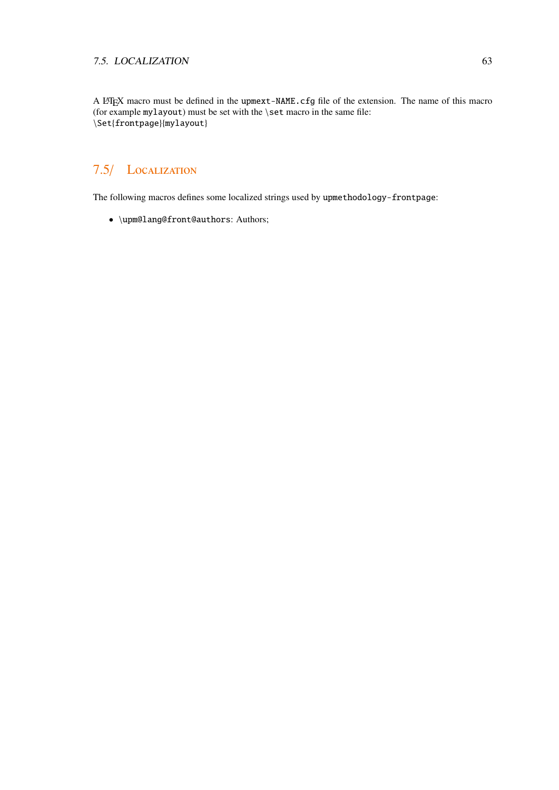#### 7.5. LOCALIZATION 63

A L<sup>AT</sup>EX macro must be defined in the upmext-NAME.cfg file of the extension. The name of this macro (for example mylayout) must be set with the \set macro in the same file: \Set{frontpage}{mylayout}

# 7.5/ Localization

The following macros defines some localized strings used by upmethodology-frontpage:

• \upm@lang@front@authors: Authors;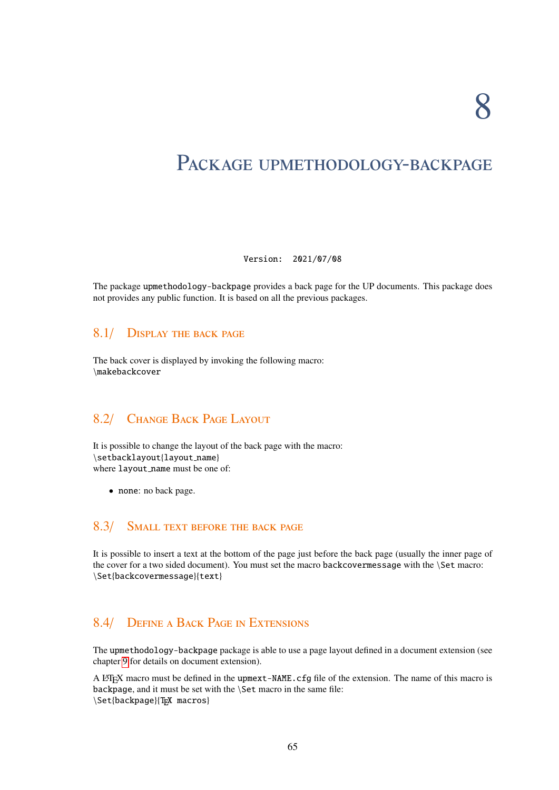# PACKAGE UPMETHODOLOGY-BACKPAGE

#### Version: 2021/07/08

The package upmethodology-backpage provides a back page for the UP documents. This package does not provides any public function. It is based on all the previous packages.

#### 8.1/ Display the back page

The back cover is displayed by invoking the following macro: \makebackcover

# 8.2/ Change Back Page Layout

It is possible to change the layout of the back page with the macro: \setbacklayout{layout name} where layout name must be one of:

• none: no back page.

# 8.3/ SMALL TEXT BEFORE THE BACK PAGE

It is possible to insert a text at the bottom of the page just before the back page (usually the inner page of the cover for a two sided document). You must set the macro backcovermessage with the \Set macro: \Set{backcovermessage}{text}

# 8.4/ Define a Back Page in Extensions

The upmethodology-backpage package is able to use a page layout defined in a document extension (see chapter [9](#page-66-0) for details on document extension).

A LATEX macro must be defined in the upmext-NAME.cfg file of the extension. The name of this macro is backpage, and it must be set with the \Set macro in the same file: \Set{backpage}{TEX macros}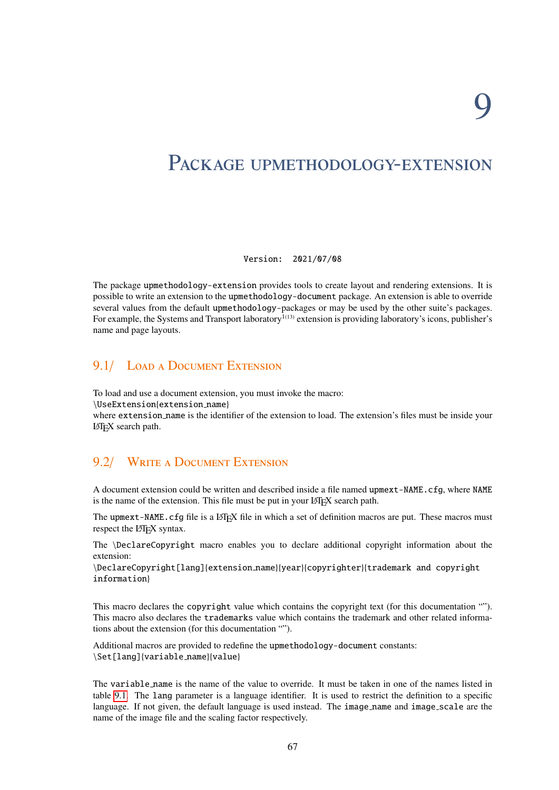# <span id="page-66-0"></span>PACKAGE UPMETHODOLOGY-EXTENSION

#### Version: 2021/07/08

The package upmethodology-extension provides tools to create layout and rendering extensions. It is possible to write an extension to the upmethodology-document package. An extension is able to override several values from the default upmethodology-packages or may be used by the other suite's packages. For example, the Systems and Transport laboratory $\overline{1}^{(13)}$  extension is providing laboratory's icons, publisher's name and page layouts.

# 9.1/ LOAD A DOCUMENT EXTENSION

To load and use a document extension, you must invoke the macro:

\UseExtension{extension name}

where extension name is the identifier of the extension to load. The extension's files must be inside your LATEX search path.

# 9.2/ WRITE A DOCUMENT EXTENSION

A document extension could be written and described inside a file named upmext-NAME.cfg, where NAME is the name of the extension. This file must be put in your LATEX search path.

The upmext-NAME.cfg file is a LATEX file in which a set of definition macros are put. These macros must respect the L<sup>AT</sup>EX syntax.

The \DeclareCopyright macro enables you to declare additional copyright information about the extension:

\DeclareCopyright[lang]{extension name}{year}{copyrighter}{trademark and copyright information}

This macro declares the copyright value which contains the copyright text (for this documentation ""). This macro also declares the trademarks value which contains the trademark and other related informations about the extension (for this documentation "").

Additional macros are provided to redefine the upmethodology-document constants: \Set[lang]{variable name}{value}

The variable name is the name of the value to override. It must be taken in one of the names listed in table [9.1.](#page-67-0) The lang parameter is a language identifier. It is used to restrict the definition to a specific language. If not given, the default language is used instead. The image name and image scale are the name of the image file and the scaling factor respectively.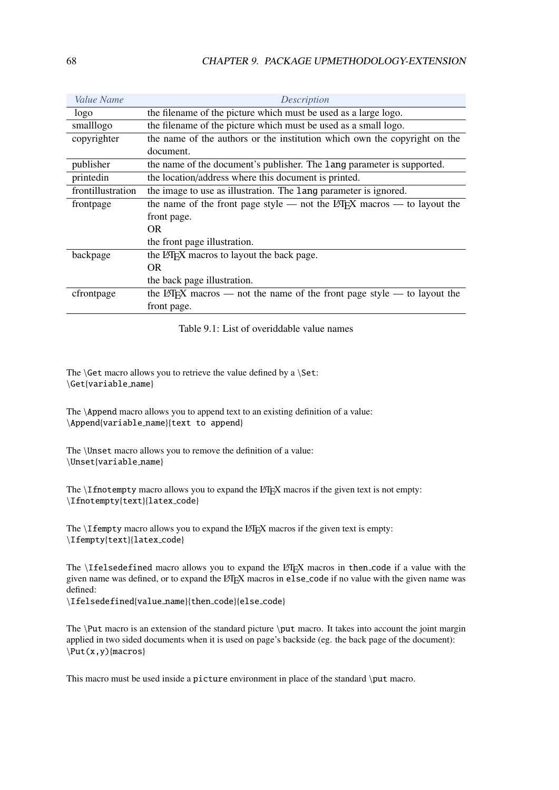<span id="page-67-0"></span>

| <i>Value Name</i> | <b>Description</b>                                                                       |
|-------------------|------------------------------------------------------------------------------------------|
| logo              | the filename of the picture which must be used as a large logo.                          |
| smalllogo         | the filename of the picture which must be used as a small logo.                          |
| copyrighter       | the name of the authors or the institution which own the copyright on the                |
|                   | document.                                                                                |
| publisher         | the name of the document's publisher. The lang parameter is supported.                   |
| printedin         | the location/address where this document is printed.                                     |
| frontillustration | the image to use as illustration. The lang parameter is ignored.                         |
| frontpage         | the name of the front page style $-$ not the LAT <sub>F</sub> X macros $-$ to layout the |
|                   | front page.                                                                              |
|                   | OR.                                                                                      |
|                   | the front page illustration.                                                             |
| backpage          | the LAT <sub>F</sub> X macros to layout the back page.                                   |
|                   | <b>OR</b>                                                                                |
|                   | the back page illustration.                                                              |
| cfrontpage        | the LAT <sub>E</sub> X macros — not the name of the front page style — to layout the     |
|                   | front page.                                                                              |

Table 9.1: List of overiddable value names

The  $\Set{Set}$  macro allows you to retrieve the value defined by a  $\Set{Set}$ : \Get{variable name}

The \Append macro allows you to append text to an existing definition of a value: \Append{variable name}{text to append}

The \Unset macro allows you to remove the definition of a value: \Unset{variable name}

The  $\I$ fnotempty macro allows you to expand the LATEX macros if the given text is not empty: \Ifnotempty{text}{latex code}

The  $\Ipsilon$  is empty macro allows you to expand the LAT<sub>EX</sub> macros if the given text is empty: \Ifempty{text}{latex\_code}

The \Ifelsedefined macro allows you to expand the LATEX macros in then code if a value with the given name was defined, or to expand the LATEX macros in else\_code if no value with the given name was defined:

\Ifelsedefined{value name}{then code}{else code}

The \Put macro is an extension of the standard picture \put macro. It takes into account the joint margin applied in two sided documents when it is used on page's backside (eg. the back page of the document): \Put(x,y){macros}

This macro must be used inside a picture environment in place of the standard \put macro.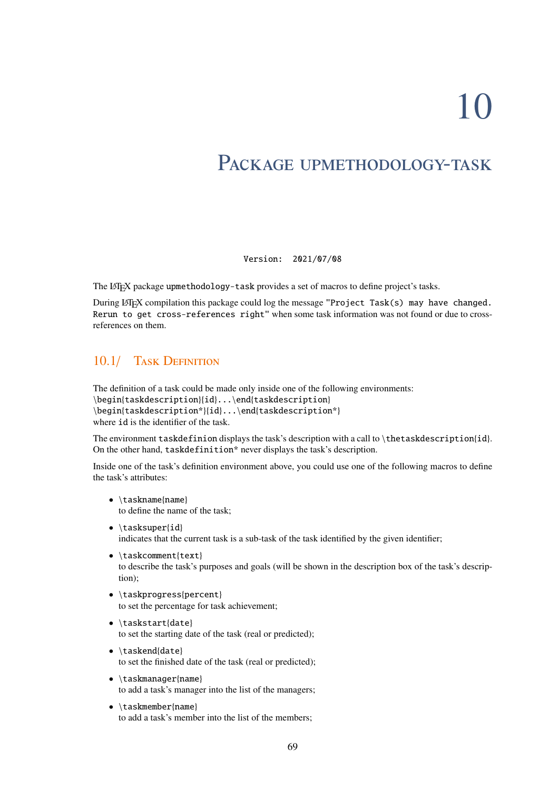10

# PACKAGE UPMETHODOLOGY-TASK

Version: 2021/07/08

The LIFX package upmethodology-task provides a set of macros to define project's tasks.

During L'F<sub>K</sub>X compilation this package could log the message "Project Task(s) may have changed. Rerun to get cross-references right" when some task information was not found or due to crossreferences on them.

# 10.1/ TASK DEFINITION

The definition of a task could be made only inside one of the following environments: \begin{taskdescription}{id}...\end{taskdescription} \begin{taskdescription\*}{id}...\end{taskdescription\*} where id is the identifier of the task.

The environment taskdefinion displays the task's description with a call to \thetaskdescription{id}. On the other hand, taskdefinition\* never displays the task's description.

Inside one of the task's definition environment above, you could use one of the following macros to define the task's attributes:

- \taskname{name} to define the name of the task;
- \tasksuper{id} indicates that the current task is a sub-task of the task identified by the given identifier;
- \taskcomment{text} to describe the task's purposes and goals (will be shown in the description box of the task's description);
- \taskprogress{percent} to set the percentage for task achievement;
- \taskstart{date} to set the starting date of the task (real or predicted);
- \taskend{date} to set the finished date of the task (real or predicted);
- \taskmanager{name} to add a task's manager into the list of the managers;
- \taskmember{name} to add a task's member into the list of the members;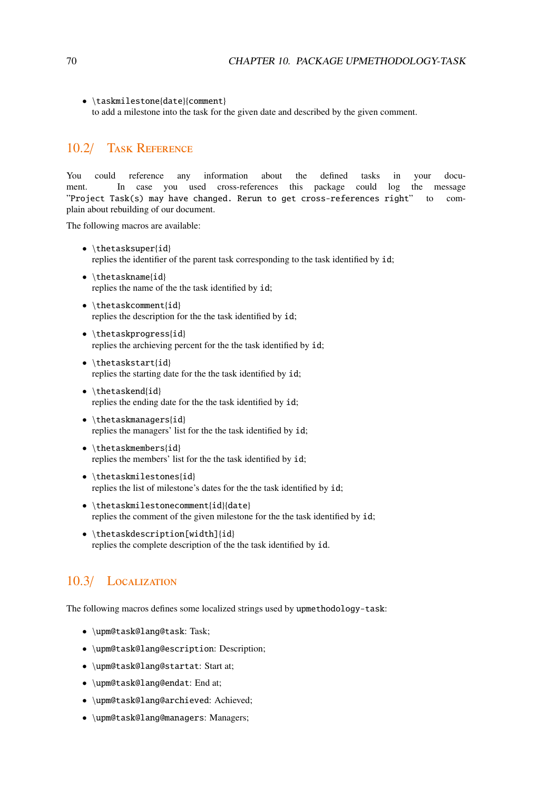• \taskmilestone{date}{comment} to add a milestone into the task for the given date and described by the given comment.

# 10.2/ Task Reference

You could reference any information about the defined tasks in your document. In case you used cross-references this package could log the message "Project Task(s) may have changed. Rerun to get cross-references right" to complain about rebuilding of our document.

The following macros are available:

- \thetasksuper{id} replies the identifier of the parent task corresponding to the task identified by id;
- \thetaskname{id} replies the name of the the task identified by id;
- \thetaskcomment{id} replies the description for the the task identified by id;
- \thetaskprogress{id} replies the archieving percent for the the task identified by id;
- \thetaskstart{id} replies the starting date for the the task identified by id;
- $\theta$ replies the ending date for the the task identified by id;
- \thetaskmanagers{id} replies the managers' list for the the task identified by id;
- \thetaskmembers{id} replies the members' list for the the task identified by id;
- \thetaskmilestones{id} replies the list of milestone's dates for the the task identified by id;
- \thetaskmilestonecomment{id}{date} replies the comment of the given milestone for the the task identified by id;
- \thetaskdescription[width]{id} replies the complete description of the the task identified by id.

# 10.3/ Localization

The following macros defines some localized strings used by upmethodology-task:

- \upm@task@lang@task: Task;
- \upm@task@lang@escription: Description;
- \upm@task@lang@startat: Start at;
- \upm@task@lang@endat: End at;
- \upm@task@lang@archieved: Achieved;
- \upm@task@lang@managers: Managers;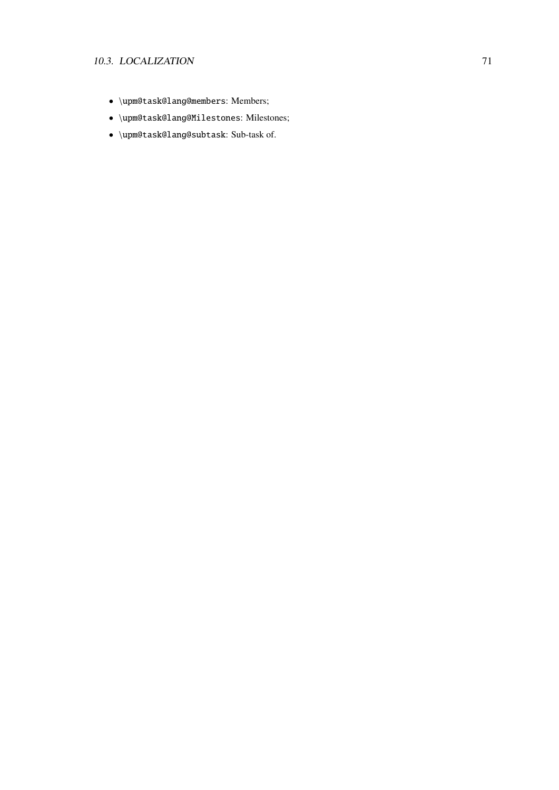#### 10.3. LOCALIZATION 71

- \upm@task@lang@members: Members;
- \upm@task@lang@Milestones: Milestones;
- \upm@task@lang@subtask: Sub-task of.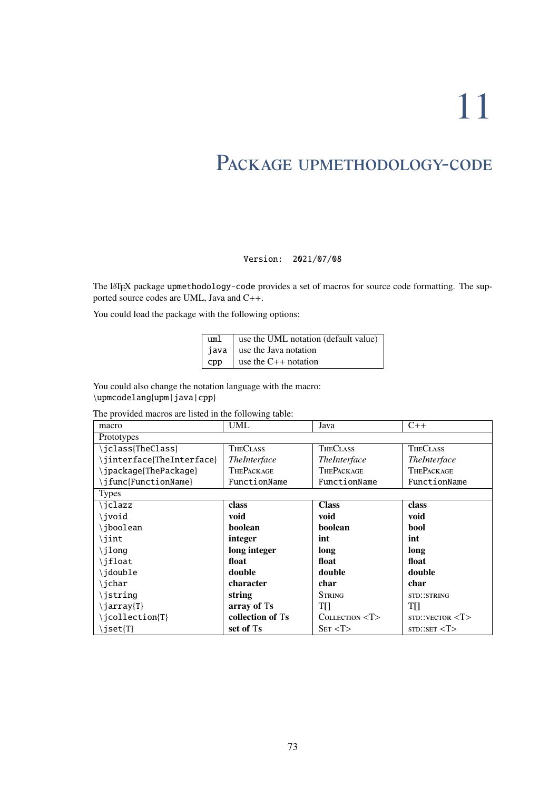11

## PACKAGE UPMETHODOLOGY-CODE

Version: 2021/07/08

The LATEX package upmethodology-code provides a set of macros for source code formatting. The supported source codes are UML, Java and C++.

You could load the package with the following options:

| uml | use the UML notation (default value) |
|-----|--------------------------------------|
|     | java $\vert$ use the Java notation   |
|     | $cpp$ ase the C++ notation           |

You could also change the notation language with the macro: \upmcodelang{upm|java|cpp}

The provided macros are listed in the following table:

| macro                      | UML                 | Java                       | $C++$                        |  |  |  |
|----------------------------|---------------------|----------------------------|------------------------------|--|--|--|
| Prototypes                 |                     |                            |                              |  |  |  |
| \jclass{TheClass}          | <b>THECLASS</b>     | <b>THECLASS</b>            | <b>THECLASS</b>              |  |  |  |
| \jinterface{TheInterface}  | <i>TheInterface</i> | <i>TheInterface</i>        | <i>TheInterface</i>          |  |  |  |
| \jpackage{ThePackage}      | <b>THEPACKAGE</b>   | <b>THEPACKAGE</b>          | <b>THEPACKAGE</b>            |  |  |  |
| \jfunc{FunctionName}       | FunctionName        | FunctionName               | FunctionName                 |  |  |  |
| <b>Types</b>               |                     |                            |                              |  |  |  |
| \jclazz                    | class               | <b>Class</b>               | class                        |  |  |  |
| \jvoid                     | void                | void                       | void                         |  |  |  |
| \jboolean                  | boolean             | boolean                    | bool                         |  |  |  |
| \jint                      | integer             | int                        | int                          |  |  |  |
| \jlong                     | long integer        | long                       | long                         |  |  |  |
| \jfloat                    | float               | float                      | float                        |  |  |  |
| \jdouble                   | double              | double                     | double                       |  |  |  |
| \jchar                     | character           | char                       | char                         |  |  |  |
| \jstring                   | string              | <b>STRING</b>              | <b>STD::STRING</b>           |  |  |  |
| $\langle jarray T \rangle$ | array of Ts         | TH                         | TII                          |  |  |  |
| \jcollection{T}            | collection of Ts    | $C$ <i>OLLECTION</i> $< T$ | STD::VECTOR <sub>T&gt;</sub> |  |  |  |
| \jset{T}                   | set of Ts           | SET < T                    | STD::SET < T>                |  |  |  |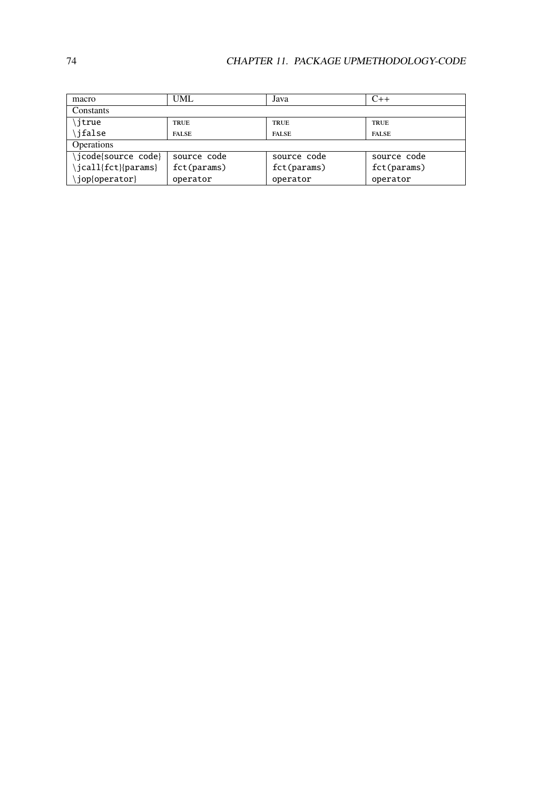| macro              | UML          | Java         | $C++$        |  |  |  |  |
|--------------------|--------------|--------------|--------------|--|--|--|--|
| Constants          |              |              |              |  |  |  |  |
| itrue              | <b>TRUE</b>  | <b>TRUE</b>  | <b>TRUE</b>  |  |  |  |  |
| \ifalse            | <b>FALSE</b> | <b>FALSE</b> | <b>FALSE</b> |  |  |  |  |
| <b>Operations</b>  |              |              |              |  |  |  |  |
| jcode{source code} | source code  | source code  | source code  |  |  |  |  |
| jcall{fct}{params} | fct(params)  | fct(params)  | fct(params)  |  |  |  |  |
| \jop{operator}     | operator     | operator     | operator     |  |  |  |  |